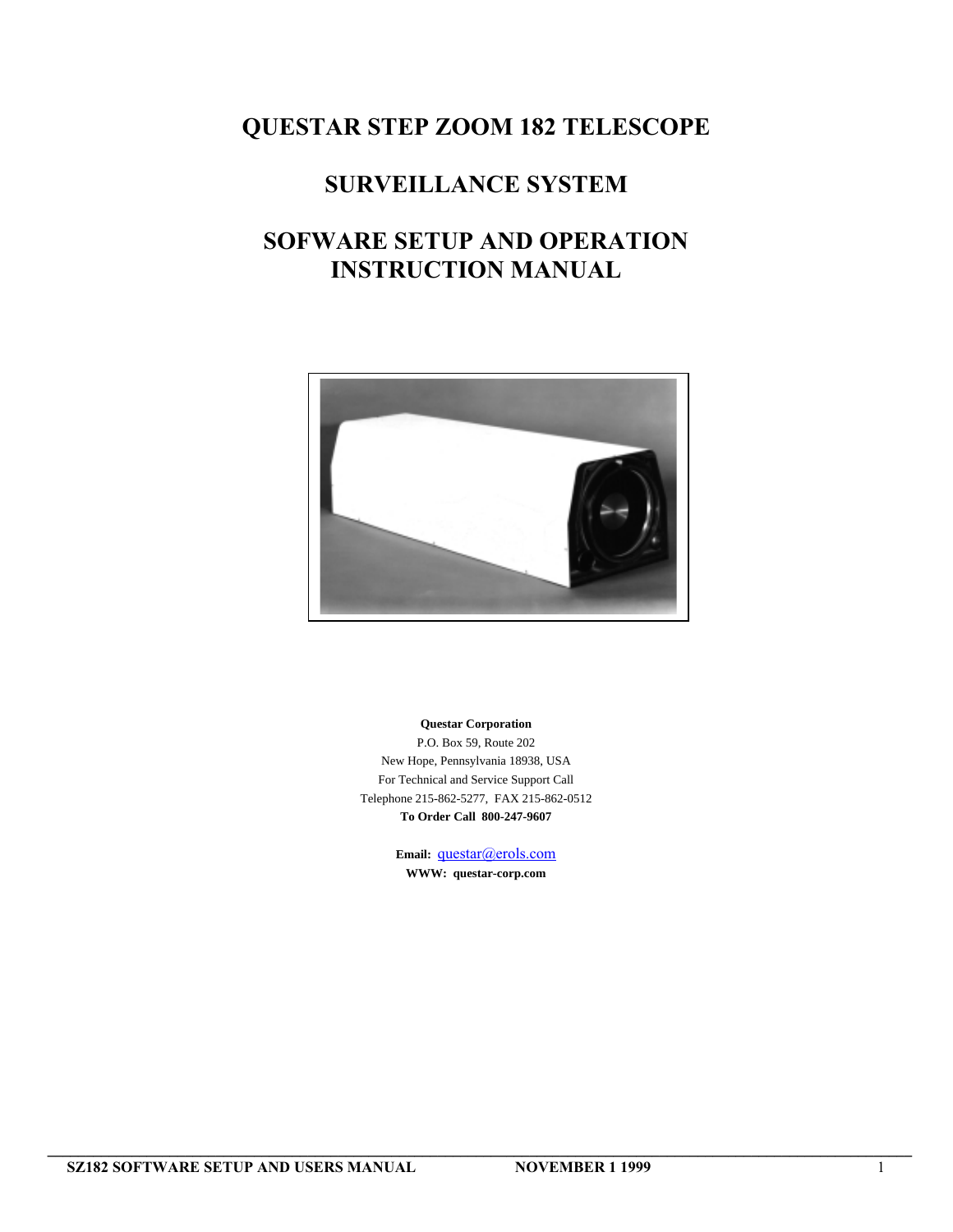# **QUESTAR STEP ZOOM 182 TELESCOPE**

# **SURVEILLANCE SYSTEM**

# **SOFWARE SETUP AND OPERATION INSTRUCTION MANUAL**



**Questar Corporation** P.O. Box 59, Route 202

New Hope, Pennsylvania 18938, USA For Technical and Service Support Call Telephone 215-862-5277, FAX 215-862-0512 **To Order Call 800-247-9607**

> Email: **questar**@erols.com **WWW: questar-corp.com**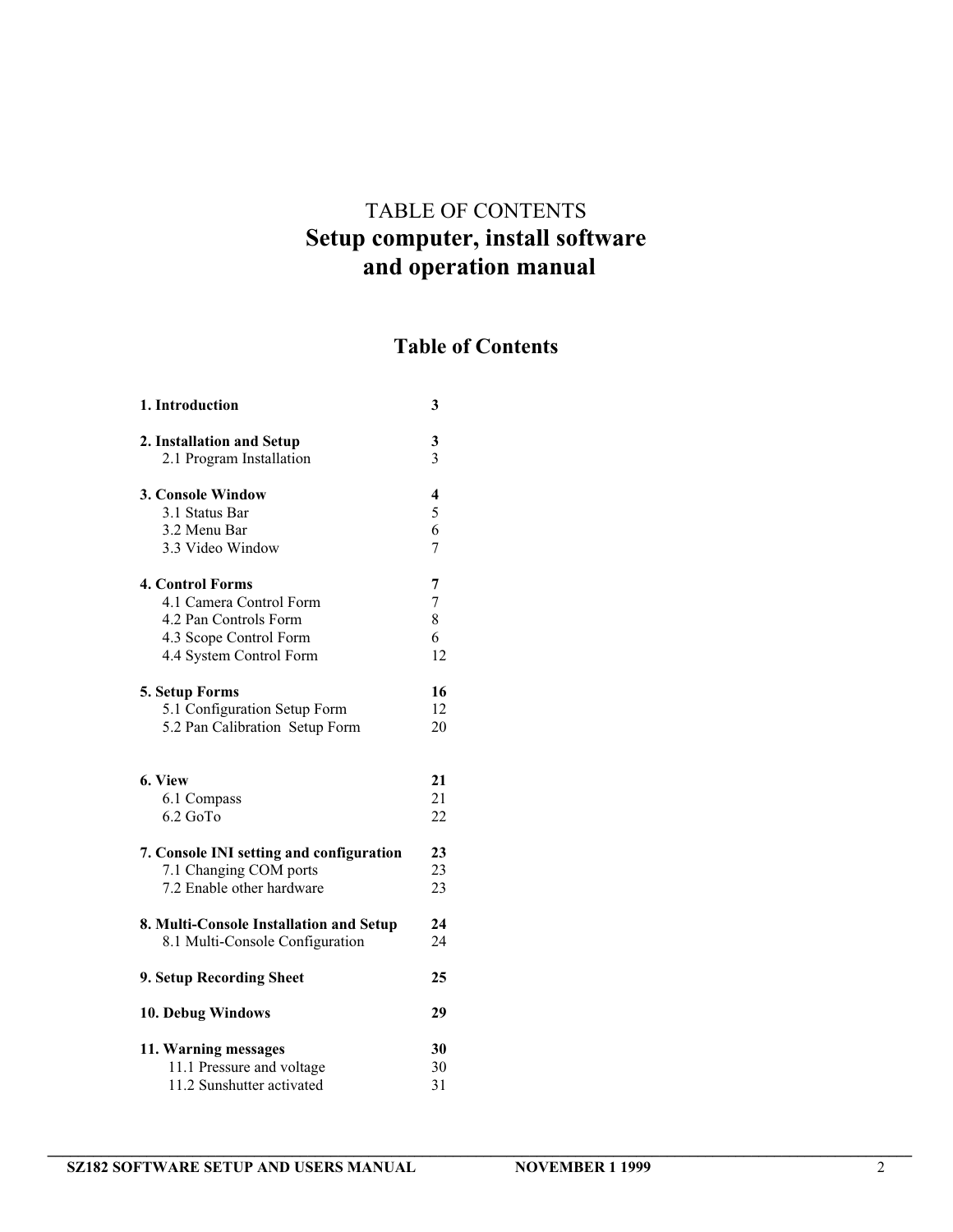# TABLE OF CONTENTS **Setup computer, install software and operation manual**

# **Table of Contents**

| 1. Introduction                          | 3                       |
|------------------------------------------|-------------------------|
| 2. Installation and Setup                | 3                       |
| 2.1 Program Installation                 | 3                       |
| 3. Console Window                        | $\overline{\mathbf{4}}$ |
| 3.1 Status Bar                           | 5                       |
| 3.2 Menu Bar                             | 6                       |
| 3.3 Video Window                         | 7                       |
| <b>4. Control Forms</b>                  | 7                       |
| 4.1 Camera Control Form                  | 7                       |
| 4.2 Pan Controls Form                    | 8                       |
| 4.3 Scope Control Form                   | 6                       |
| 4.4 System Control Form                  | 12                      |
| 5. Setup Forms                           | 16                      |
| 5.1 Configuration Setup Form             | 12                      |
| 5.2 Pan Calibration Setup Form           | 20                      |
| 6. View                                  | 21                      |
| 6.1 Compass                              | 21                      |
| $6.2$ GoTo                               | 22                      |
| 7. Console INI setting and configuration | 23                      |
| 7.1 Changing COM ports                   | 23                      |
| 7.2 Enable other hardware                | 23                      |
| 8. Multi-Console Installation and Setup  | 24                      |
| 8.1 Multi-Console Configuration          | 24                      |
| 9. Setup Recording Sheet                 | 25                      |
| 10. Debug Windows                        | 29                      |
| 11. Warning messages                     | 30                      |
| 11.1 Pressure and voltage                | 30                      |
| 11.2 Sunshutter activated                | 31                      |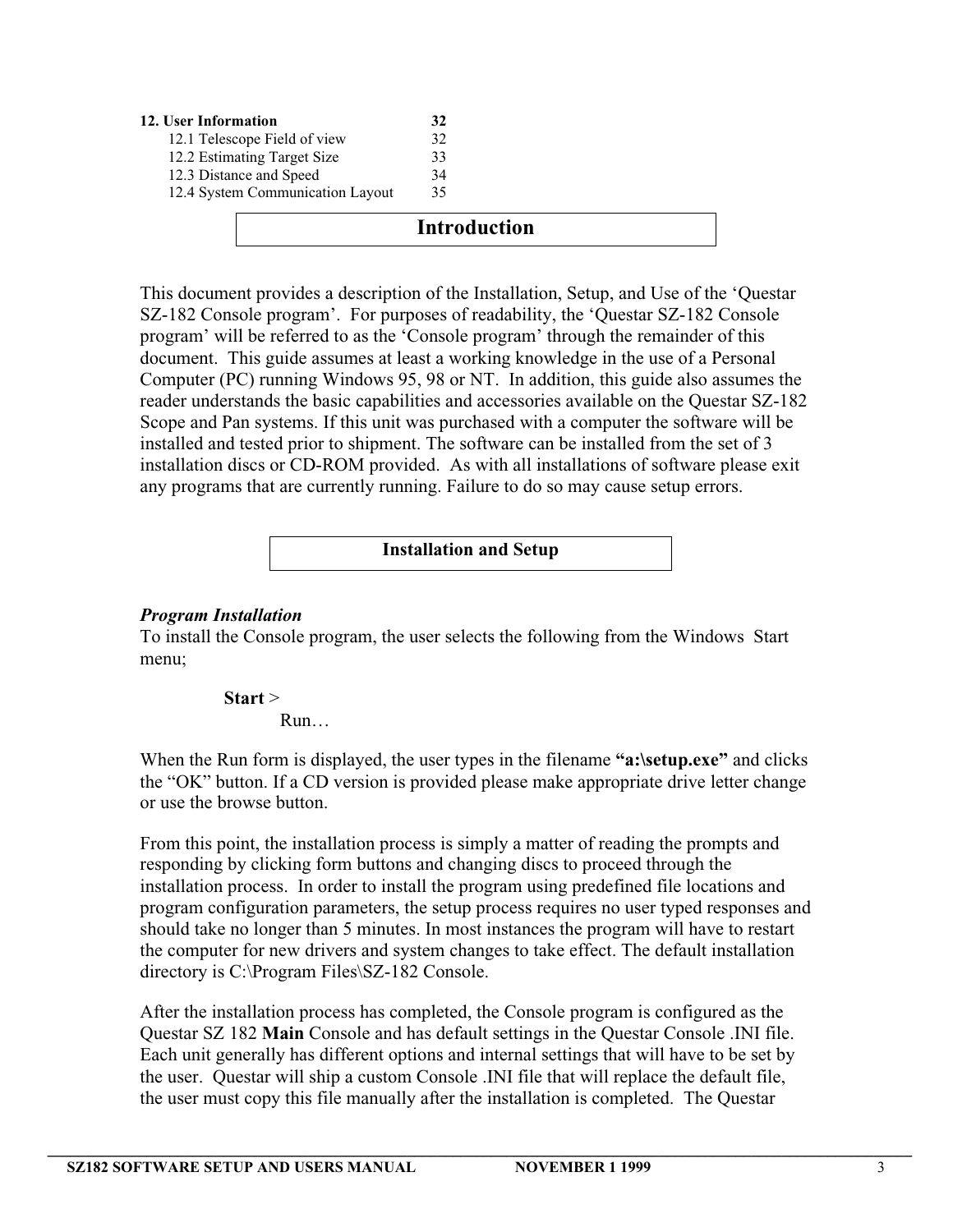| 12. User Information             | 32 |  |
|----------------------------------|----|--|
| 12.1 Telescope Field of view     | 32 |  |
| 12.2 Estimating Target Size      | 33 |  |
| 12.3 Distance and Speed          | 34 |  |
| 12.4 System Communication Layout | 35 |  |

### **Introduction**

This document provides a description of the Installation, Setup, and Use of the 'Questar SZ-182 Console program'. For purposes of readability, the 'Questar SZ-182 Console program' will be referred to as the 'Console program' through the remainder of this document. This guide assumes at least a working knowledge in the use of a Personal Computer (PC) running Windows 95, 98 or NT. In addition, this guide also assumes the reader understands the basic capabilities and accessories available on the Questar SZ-182 Scope and Pan systems. If this unit was purchased with a computer the software will be installed and tested prior to shipment. The software can be installed from the set of 3 installation discs or CD-ROM provided. As with all installations of software please exit any programs that are currently running. Failure to do so may cause setup errors.

### **Installation and Setup**

### *Program Installation*

To install the Console program, the user selects the following from the Windows Start menu;

> **Start** > Run…

When the Run form is displayed, the user types in the filename "a:\setup.exe" and clicks the "OK" button. If a CD version is provided please make appropriate drive letter change or use the browse button.

From this point, the installation process is simply a matter of reading the prompts and responding by clicking form buttons and changing discs to proceed through the installation process. In order to install the program using predefined file locations and program configuration parameters, the setup process requires no user typed responses and should take no longer than 5 minutes. In most instances the program will have to restart the computer for new drivers and system changes to take effect. The default installation directory is C:\Program Files\SZ-182 Console.

After the installation process has completed, the Console program is configured as the Questar SZ 182 **Main** Console and has default settings in the Questar Console .INI file. Each unit generally has different options and internal settings that will have to be set by the user. Questar will ship a custom Console .INI file that will replace the default file, the user must copy this file manually after the installation is completed. The Questar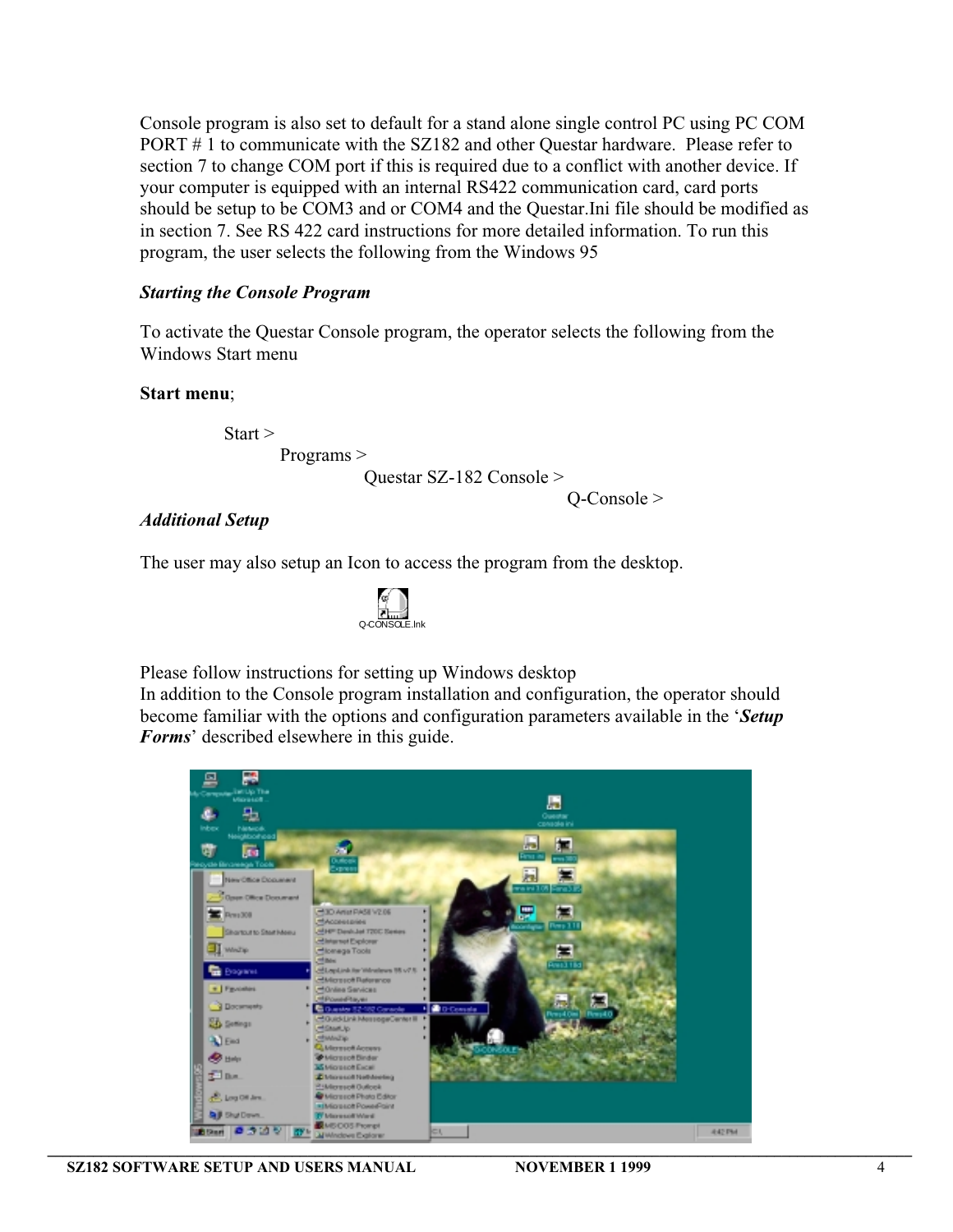Console program is also set to default for a stand alone single control PC using PC COM PORT # 1 to communicate with the SZ182 and other Questar hardware. Please refer to section 7 to change COM port if this is required due to a conflict with another device. If your computer is equipped with an internal RS422 communication card, card ports should be setup to be COM3 and or COM4 and the Questar.Ini file should be modified as in section 7. See RS 422 card instructions for more detailed information. To run this program, the user selects the following from the Windows 95

### *Starting the Console Program*

To activate the Questar Console program, the operator selects the following from the Windows Start menu

#### **Start menu**;

Start > Programs >

Questar SZ-182 Console >

Q-Console >

#### *Additional Setup*

The user may also setup an Icon to access the program from the desktop.



Please follow instructions for setting up Windows desktop

In addition to the Console program installation and configuration, the operator should become familiar with the options and configuration parameters available in the '*Setup Forms*' described elsewhere in this guide.

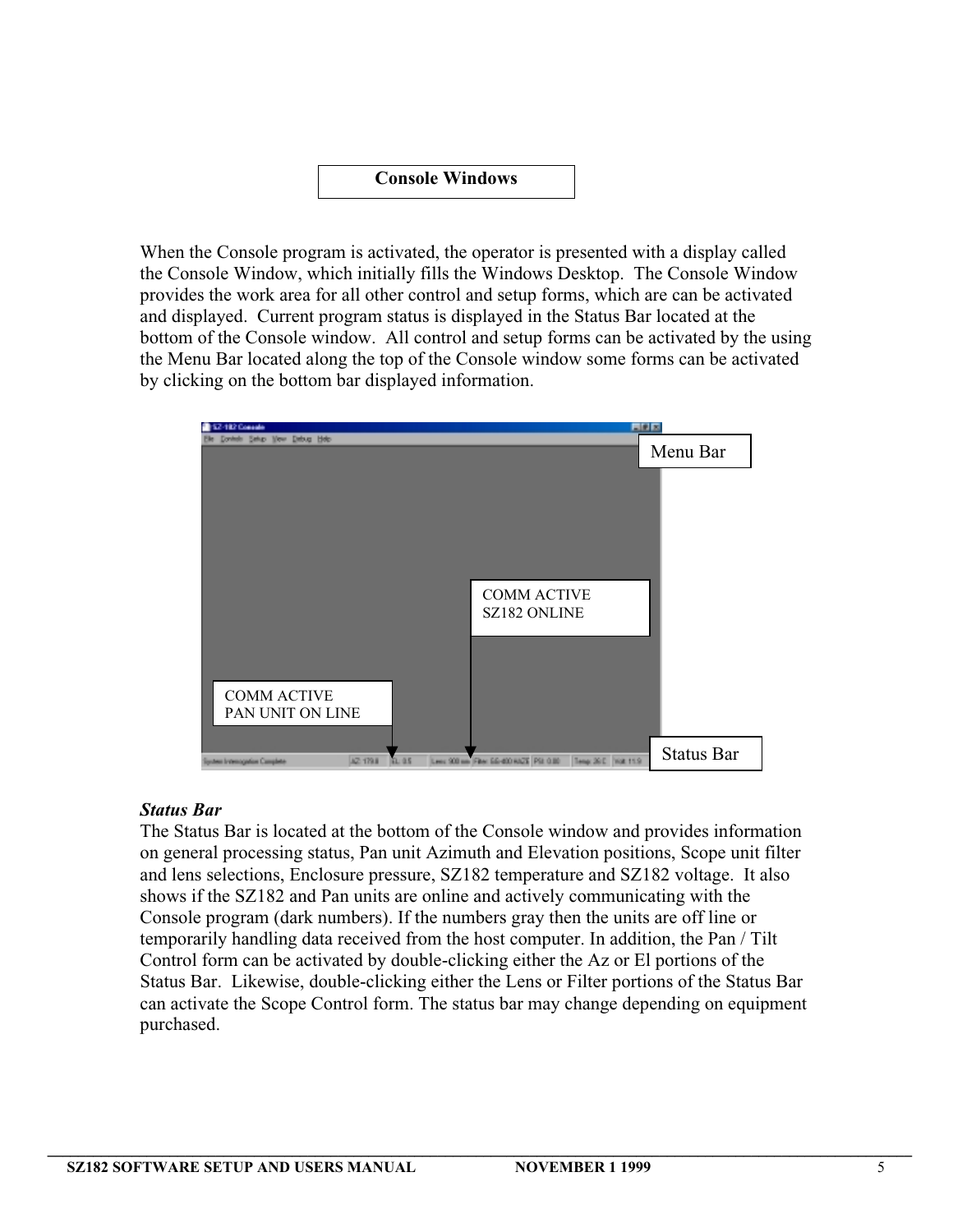### **Console Windows**

When the Console program is activated, the operator is presented with a display called the Console Window, which initially fills the Windows Desktop. The Console Window provides the work area for all other control and setup forms, which are can be activated and displayed. Current program status is displayed in the Status Bar located at the bottom of the Console window. All control and setup forms can be activated by the using the Menu Bar located along the top of the Console window some forms can be activated by clicking on the bottom bar displayed information.



### *Status Bar*

The Status Bar is located at the bottom of the Console window and provides information on general processing status, Pan unit Azimuth and Elevation positions, Scope unit filter and lens selections, Enclosure pressure, SZ182 temperature and SZ182 voltage. It also shows if the SZ182 and Pan units are online and actively communicating with the Console program (dark numbers). If the numbers gray then the units are off line or temporarily handling data received from the host computer. In addition, the Pan / Tilt Control form can be activated by double-clicking either the Az or El portions of the Status Bar. Likewise, double-clicking either the Lens or Filter portions of the Status Bar can activate the Scope Control form. The status bar may change depending on equipment purchased.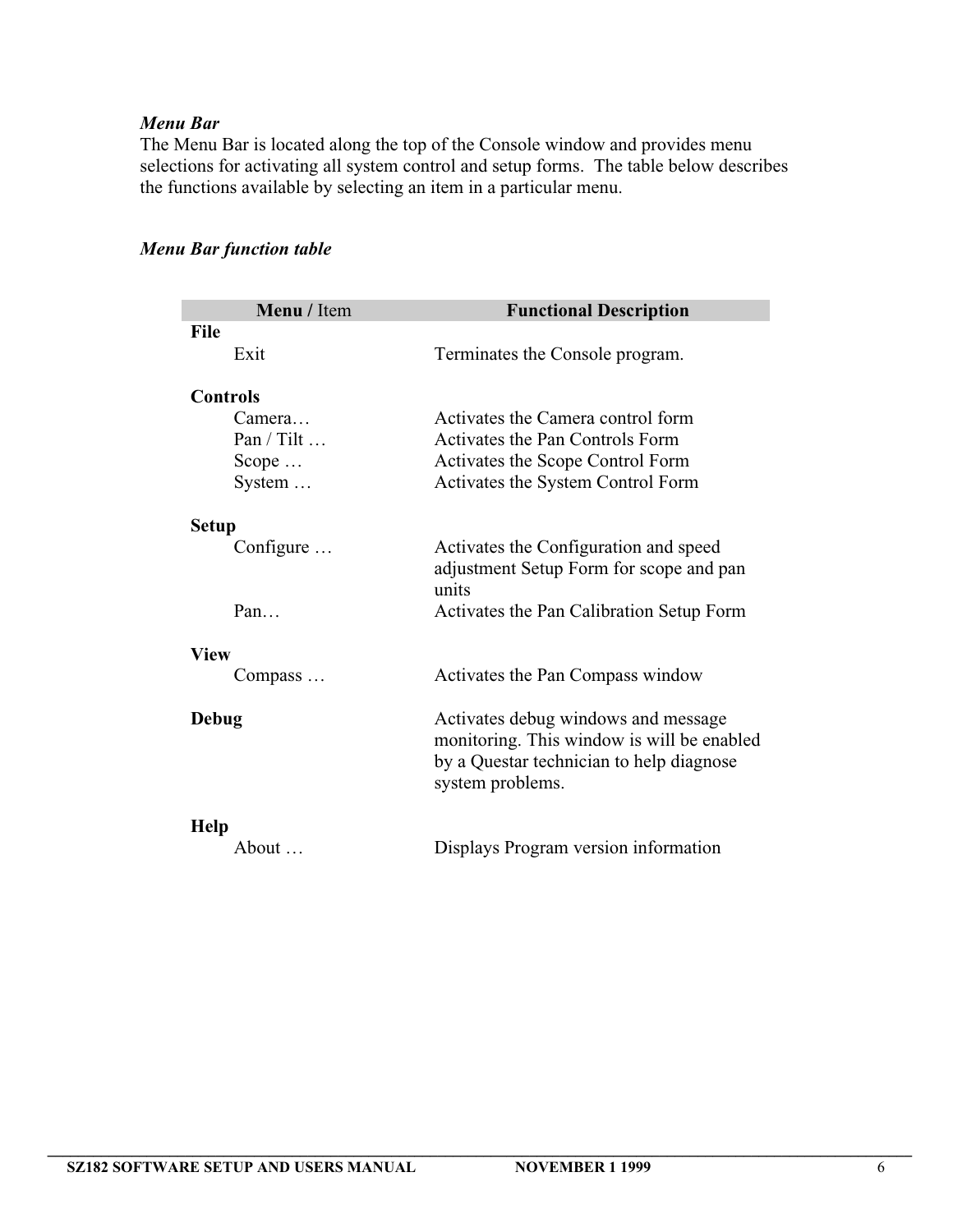# *Menu Bar*

The Menu Bar is located along the top of the Console window and provides menu selections for activating all system control and setup forms. The table below describes the functions available by selecting an item in a particular menu.

| Menu / Item        | <b>Functional Description</b>              |
|--------------------|--------------------------------------------|
| <b>File</b>        |                                            |
| Exit               | Terminates the Console program.            |
|                    |                                            |
| <b>Controls</b>    |                                            |
| Camera             | Activates the Camera control form          |
| Pan / Tilt $\dots$ | Activates the Pan Controls Form            |
| Scope $\ldots$     | Activates the Scope Control Form           |
| System $\dots$     | Activates the System Control Form          |
| <b>Setup</b>       |                                            |
| Configure          | Activates the Configuration and speed      |
|                    | adjustment Setup Form for scope and pan    |
|                    | units                                      |
| Pan                | Activates the Pan Calibration Setup Form   |
| <b>View</b>        |                                            |
| Compass            | Activates the Pan Compass window           |
| <b>Debug</b>       | Activates debug windows and message        |
|                    | monitoring. This window is will be enabled |
|                    | by a Questar technician to help diagnose   |
|                    | system problems.                           |
| Help               |                                            |
| About              | Displays Program version information       |

# *Menu Bar function table*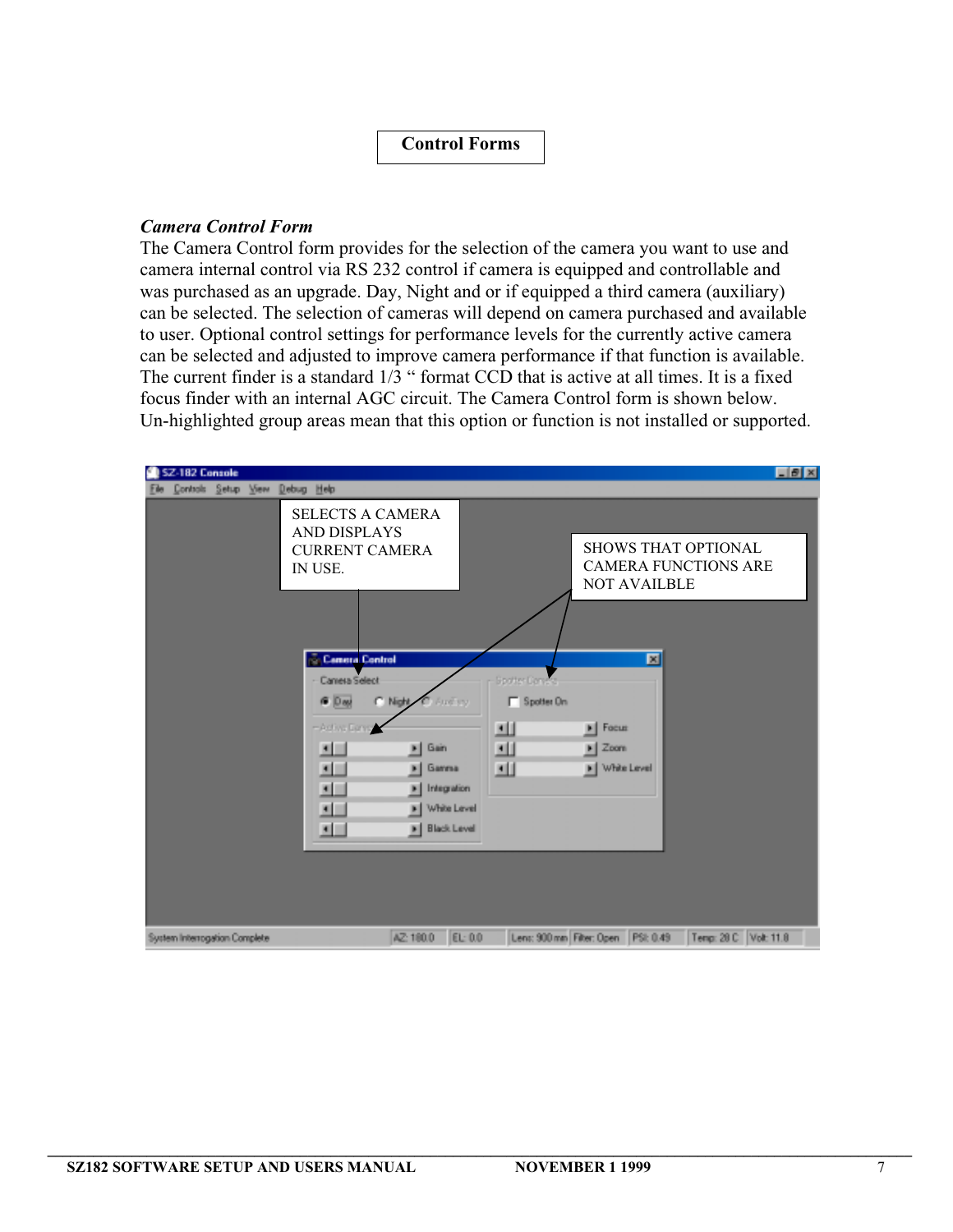### **Control Forms**

#### *Camera Control Form*

The Camera Control form provides for the selection of the camera you want to use and camera internal control via RS 232 control if camera is equipped and controllable and was purchased as an upgrade. Day, Night and or if equipped a third camera (auxiliary) can be selected. The selection of cameras will depend on camera purchased and available to user. Optional control settings for performance levels for the currently active camera can be selected and adjusted to improve camera performance if that function is available. The current finder is a standard  $1/\overline{3}$  " format CCD that is active at all times. It is a fixed focus finder with an internal AGC circuit. The Camera Control form is shown below. Un-highlighted group areas mean that this option or function is not installed or supported.

| SZ-182 Console                                                                                                                                                                                                  |                                                                                                                                                                                   | FZ                                                                                                                  |
|-----------------------------------------------------------------------------------------------------------------------------------------------------------------------------------------------------------------|-----------------------------------------------------------------------------------------------------------------------------------------------------------------------------------|---------------------------------------------------------------------------------------------------------------------|
| Controls Setup View Debug Help                                                                                                                                                                                  |                                                                                                                                                                                   |                                                                                                                     |
| <b>SELECTS A CAMERA</b><br><b>AND DISPLAYS</b><br><b>CURRENT CAMERA</b><br>IN USE.<br>Camera Control<br>Camera Select<br>G Day<br>-Activa Danno<br>$\blacksquare$<br>$\blacksquare$<br>×<br>$\blacksquare$<br>≖ | <b>Gootter Corvers</b><br>$\Gamma$ Spotter On<br>C. Night<br>And you<br>ш<br>ш<br>Gain<br>×<br>画<br>Gamma<br>×<br>Integration<br>×<br>White Level<br>٠<br><b>Black Level</b><br>× | SHOWS THAT OPTIONAL<br><b>CAMERA FUNCTIONS ARE</b><br><b>NOT AVAILBLE</b><br>圖<br>Focus<br>Zoom<br>White Level<br>н |
| System Interrogation Complete                                                                                                                                                                                   | EL: 0.0<br>AZ: 180.0                                                                                                                                                              | Leni: 900 mm Filter: Open PSI: 0.49<br>Temp: 28 C Volt: 11.8                                                        |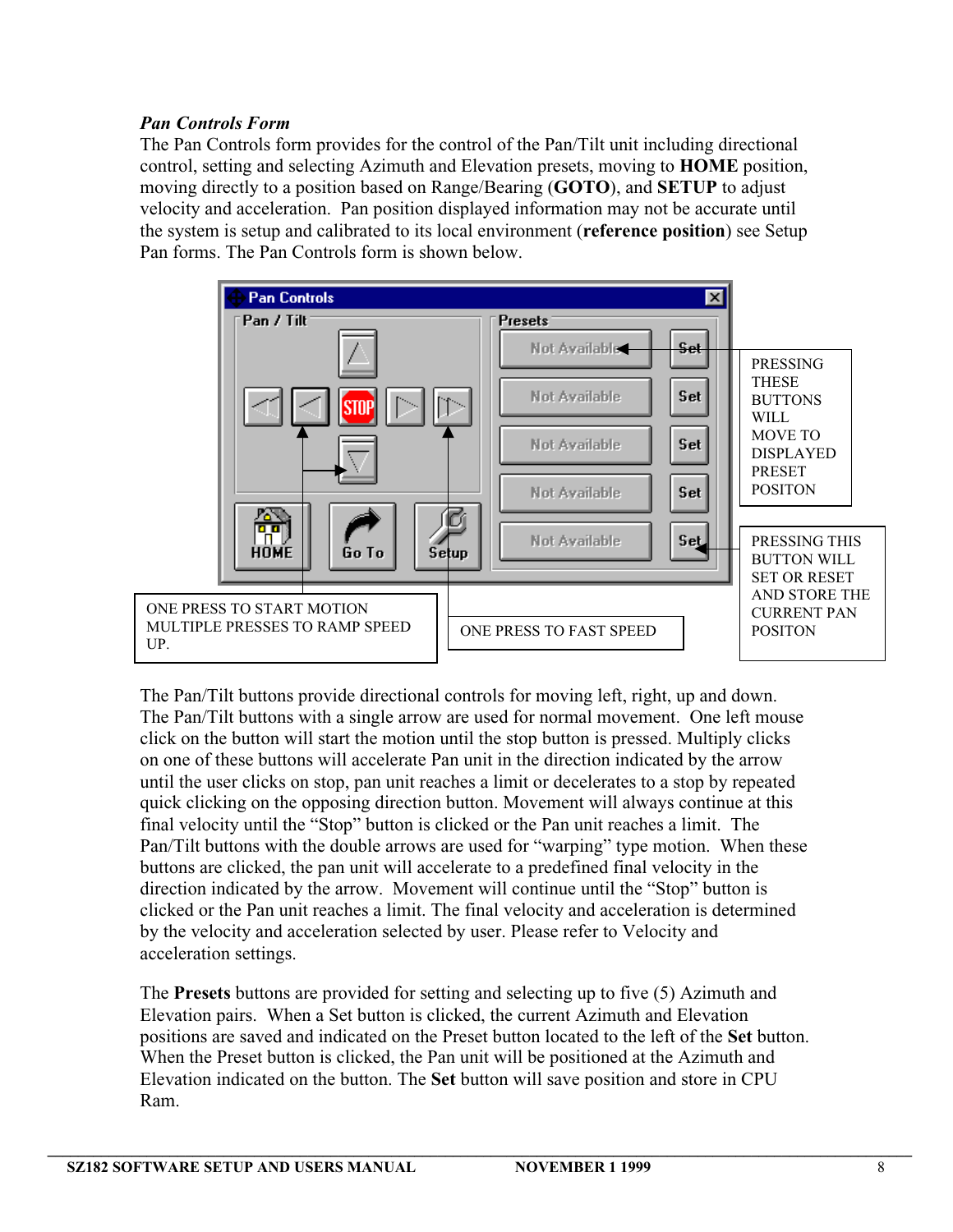# *Pan Controls Form*

The Pan Controls form provides for the control of the Pan/Tilt unit including directional control, setting and selecting Azimuth and Elevation presets, moving to **HOME** position, moving directly to a position based on Range/Bearing (**GOTO**), and **SETUP** to adjust velocity and acceleration. Pan position displayed information may not be accurate until the system is setup and calibrated to its local environment (**reference position**) see Setup Pan forms. The Pan Controls form is shown below.



The Pan/Tilt buttons provide directional controls for moving left, right, up and down. The Pan/Tilt buttons with a single arrow are used for normal movement. One left mouse click on the button will start the motion until the stop button is pressed. Multiply clicks on one of these buttons will accelerate Pan unit in the direction indicated by the arrow until the user clicks on stop, pan unit reaches a limit or decelerates to a stop by repeated quick clicking on the opposing direction button. Movement will always continue at this final velocity until the "Stop" button is clicked or the Pan unit reaches a limit. The Pan/Tilt buttons with the double arrows are used for "warping" type motion. When these buttons are clicked, the pan unit will accelerate to a predefined final velocity in the direction indicated by the arrow. Movement will continue until the "Stop" button is clicked or the Pan unit reaches a limit. The final velocity and acceleration is determined by the velocity and acceleration selected by user. Please refer to Velocity and acceleration settings.

The **Presets** buttons are provided for setting and selecting up to five (5) Azimuth and Elevation pairs. When a Set button is clicked, the current Azimuth and Elevation positions are saved and indicated on the Preset button located to the left of the **Set** button. When the Preset button is clicked, the Pan unit will be positioned at the Azimuth and Elevation indicated on the button. The **Set** button will save position and store in CPU Ram.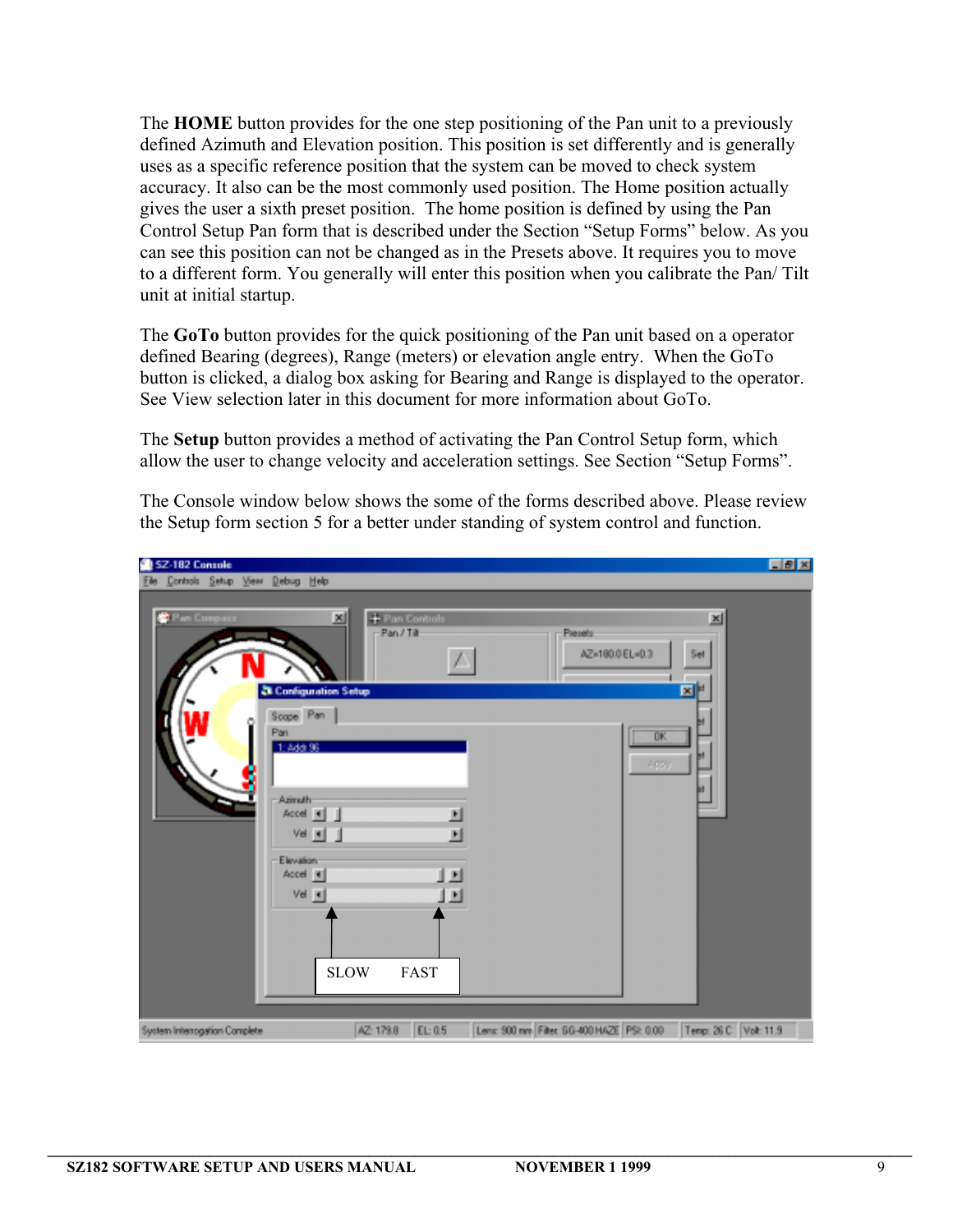The **HOME** button provides for the one step positioning of the Pan unit to a previously defined Azimuth and Elevation position. This position is set differently and is generally uses as a specific reference position that the system can be moved to check system accuracy. It also can be the most commonly used position. The Home position actually gives the user a sixth preset position. The home position is defined by using the Pan Control Setup Pan form that is described under the Section "Setup Forms" below. As you can see this position can not be changed as in the Presets above. It requires you to move to a different form. You generally will enter this position when you calibrate the Pan/ Tilt unit at initial startup.

The **GoTo** button provides for the quick positioning of the Pan unit based on a operator defined Bearing (degrees), Range (meters) or elevation angle entry. When the GoTo button is clicked, a dialog box asking for Bearing and Range is displayed to the operator. See View selection later in this document for more information about GoTo.

The **Setup** button provides a method of activating the Pan Control Setup form, which allow the user to change velocity and acceleration settings. See Section "Setup Forms".

The Console window below shows the some of the forms described above. Please review the Setup form section 5 for a better under standing of system control and function.

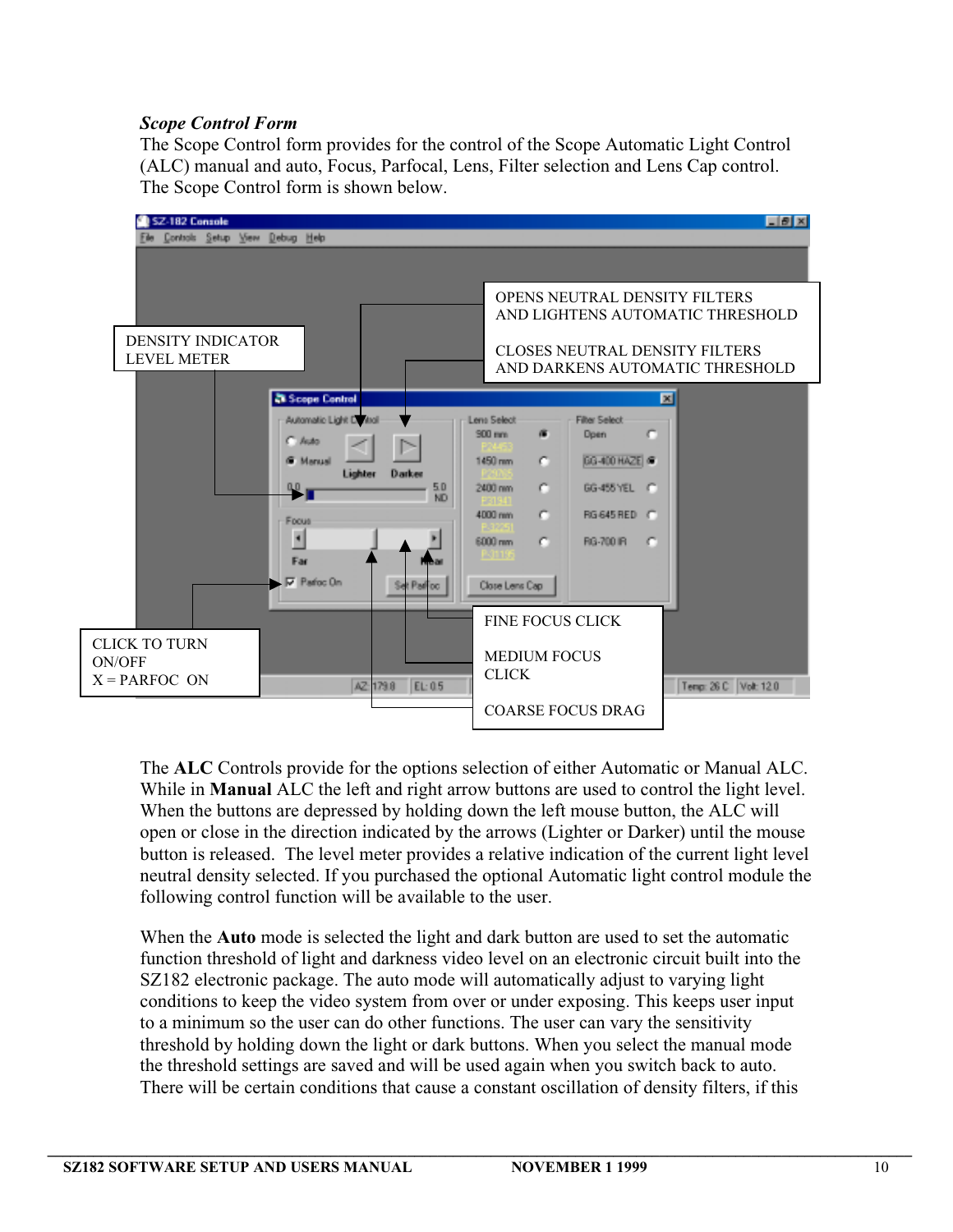# *Scope Control Form*

The Scope Control form provides for the control of the Scope Automatic Light Control (ALC) manual and auto, Focus, Parfocal, Lens, Filter selection and Lens Cap control. The Scope Control form is shown below.



The **ALC** Controls provide for the options selection of either Automatic or Manual ALC. While in **Manual** ALC the left and right arrow buttons are used to control the light level. When the buttons are depressed by holding down the left mouse button, the ALC will open or close in the direction indicated by the arrows (Lighter or Darker) until the mouse button is released. The level meter provides a relative indication of the current light level neutral density selected. If you purchased the optional Automatic light control module the following control function will be available to the user.

When the **Auto** mode is selected the light and dark button are used to set the automatic function threshold of light and darkness video level on an electronic circuit built into the SZ182 electronic package. The auto mode will automatically adjust to varying light conditions to keep the video system from over or under exposing. This keeps user input to a minimum so the user can do other functions. The user can vary the sensitivity threshold by holding down the light or dark buttons. When you select the manual mode the threshold settings are saved and will be used again when you switch back to auto. There will be certain conditions that cause a constant oscillation of density filters, if this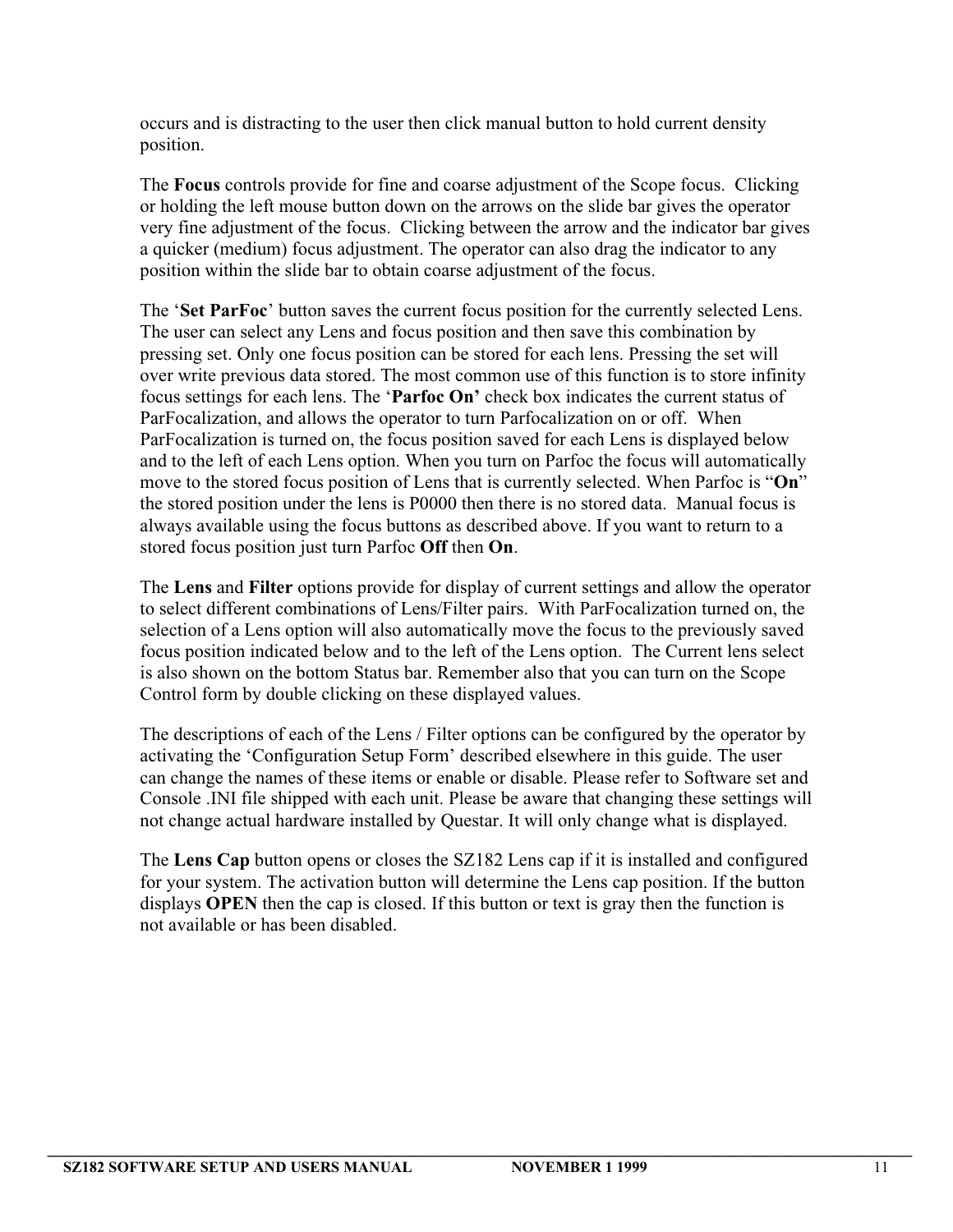occurs and is distracting to the user then click manual button to hold current density position.

The **Focus** controls provide for fine and coarse adjustment of the Scope focus. Clicking or holding the left mouse button down on the arrows on the slide bar gives the operator very fine adjustment of the focus. Clicking between the arrow and the indicator bar gives a quicker (medium) focus adjustment. The operator can also drag the indicator to any position within the slide bar to obtain coarse adjustment of the focus.

The '**Set ParFoc**' button saves the current focus position for the currently selected Lens. The user can select any Lens and focus position and then save this combination by pressing set. Only one focus position can be stored for each lens. Pressing the set will over write previous data stored. The most common use of this function is to store infinity focus settings for each lens. The '**Parfoc On'** check box indicates the current status of ParFocalization, and allows the operator to turn Parfocalization on or off. When ParFocalization is turned on, the focus position saved for each Lens is displayed below and to the left of each Lens option. When you turn on Parfoc the focus will automatically move to the stored focus position of Lens that is currently selected. When Parfoc is "**On**" the stored position under the lens is P0000 then there is no stored data. Manual focus is always available using the focus buttons as described above. If you want to return to a stored focus position just turn Parfoc **Off** then **On**.

The **Lens** and **Filter** options provide for display of current settings and allow the operator to select different combinations of Lens/Filter pairs. With ParFocalization turned on, the selection of a Lens option will also automatically move the focus to the previously saved focus position indicated below and to the left of the Lens option. The Current lens select is also shown on the bottom Status bar. Remember also that you can turn on the Scope Control form by double clicking on these displayed values.

The descriptions of each of the Lens / Filter options can be configured by the operator by activating the 'Configuration Setup Form' described elsewhere in this guide. The user can change the names of these items or enable or disable. Please refer to Software set and Console .INI file shipped with each unit. Please be aware that changing these settings will not change actual hardware installed by Questar. It will only change what is displayed.

The **Lens Cap** button opens or closes the SZ182 Lens cap if it is installed and configured for your system. The activation button will determine the Lens cap position. If the button displays **OPEN** then the cap is closed. If this button or text is gray then the function is not available or has been disabled.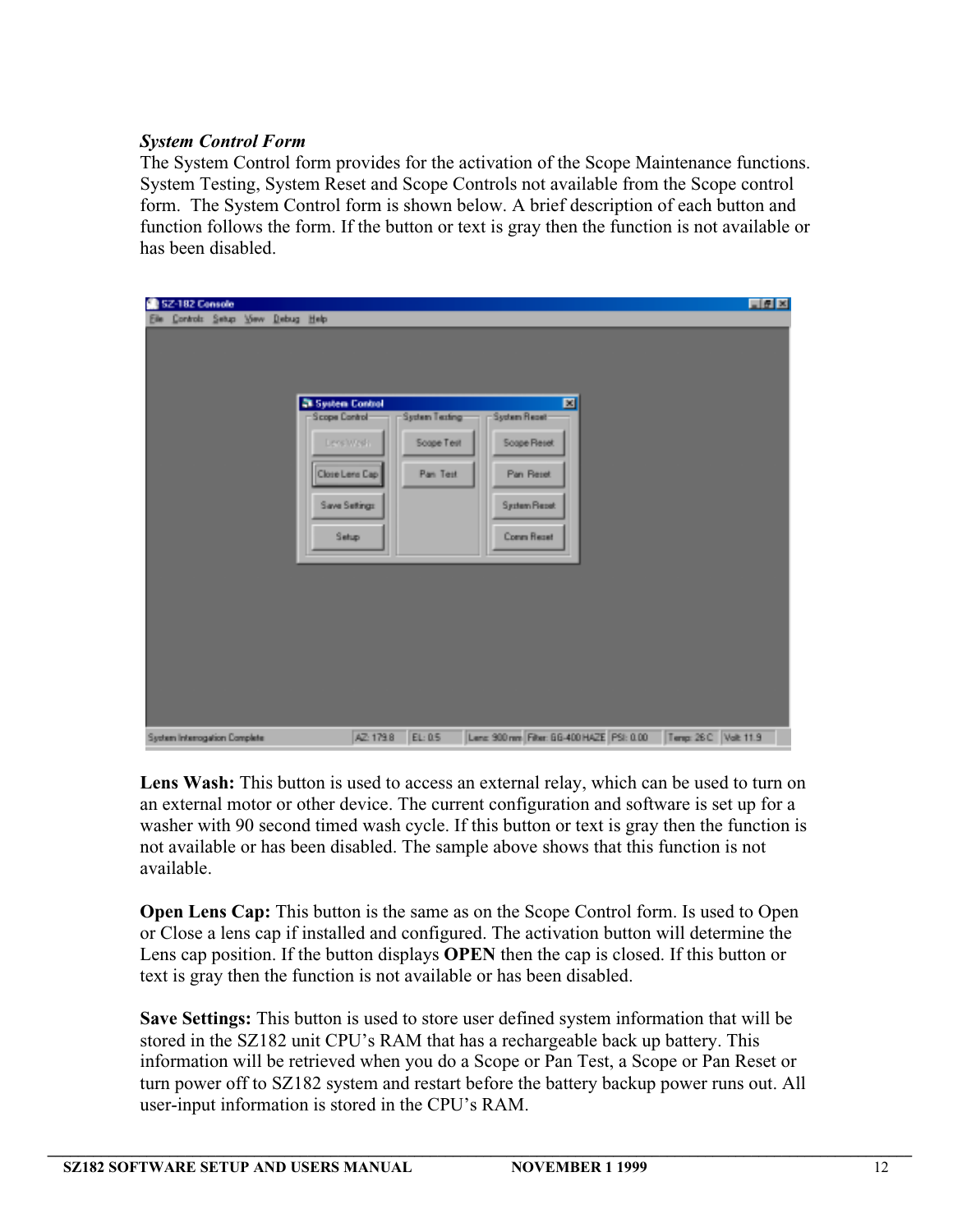## *System Control Form*

The System Control form provides for the activation of the Scope Maintenance functions. System Testing, System Reset and Scope Controls not available from the Scope control form. The System Control form is shown below. A brief description of each button and function follows the form. If the button or text is gray then the function is not available or has been disabled.

|     | SZ-182 Console                |  |            |                                                                                                          |                                                                          |                                                                     |                      | 同風図 |
|-----|-------------------------------|--|------------|----------------------------------------------------------------------------------------------------------|--------------------------------------------------------------------------|---------------------------------------------------------------------|----------------------|-----|
| 198 | Controls Setup Yew            |  | Debug Help | <b>28 System Control</b><br><b>Scope Control</b><br>Levs'Weds<br>Close Lens Cap<br>Save Setings<br>Setup | <b>System Repair</b><br><b>System Testing:</b><br>Soape Test<br>Pan Test | 図<br>Soape Reset<br>Pan Reset<br>System Report<br><b>Comm Recet</b> |                      |     |
|     | System Interrogation Complete |  |            | AZ: 179.8<br>EL: 0.5                                                                                     |                                                                          | Lenz 900 nm Filter: GG-400 HAZE PSI: 0.00                           | Tenp: 26 C Volt 11.9 |     |

**Lens Wash:** This button is used to access an external relay, which can be used to turn on an external motor or other device. The current configuration and software is set up for a washer with 90 second timed wash cycle. If this button or text is gray then the function is not available or has been disabled. The sample above shows that this function is not available.

**Open Lens Cap:** This button is the same as on the Scope Control form. Is used to Open or Close a lens cap if installed and configured. The activation button will determine the Lens cap position. If the button displays **OPEN** then the cap is closed. If this button or text is gray then the function is not available or has been disabled.

**Save Settings:** This button is used to store user defined system information that will be stored in the SZ182 unit CPU's RAM that has a rechargeable back up battery. This information will be retrieved when you do a Scope or Pan Test, a Scope or Pan Reset or turn power off to SZ182 system and restart before the battery backup power runs out. All user-input information is stored in the CPU's RAM.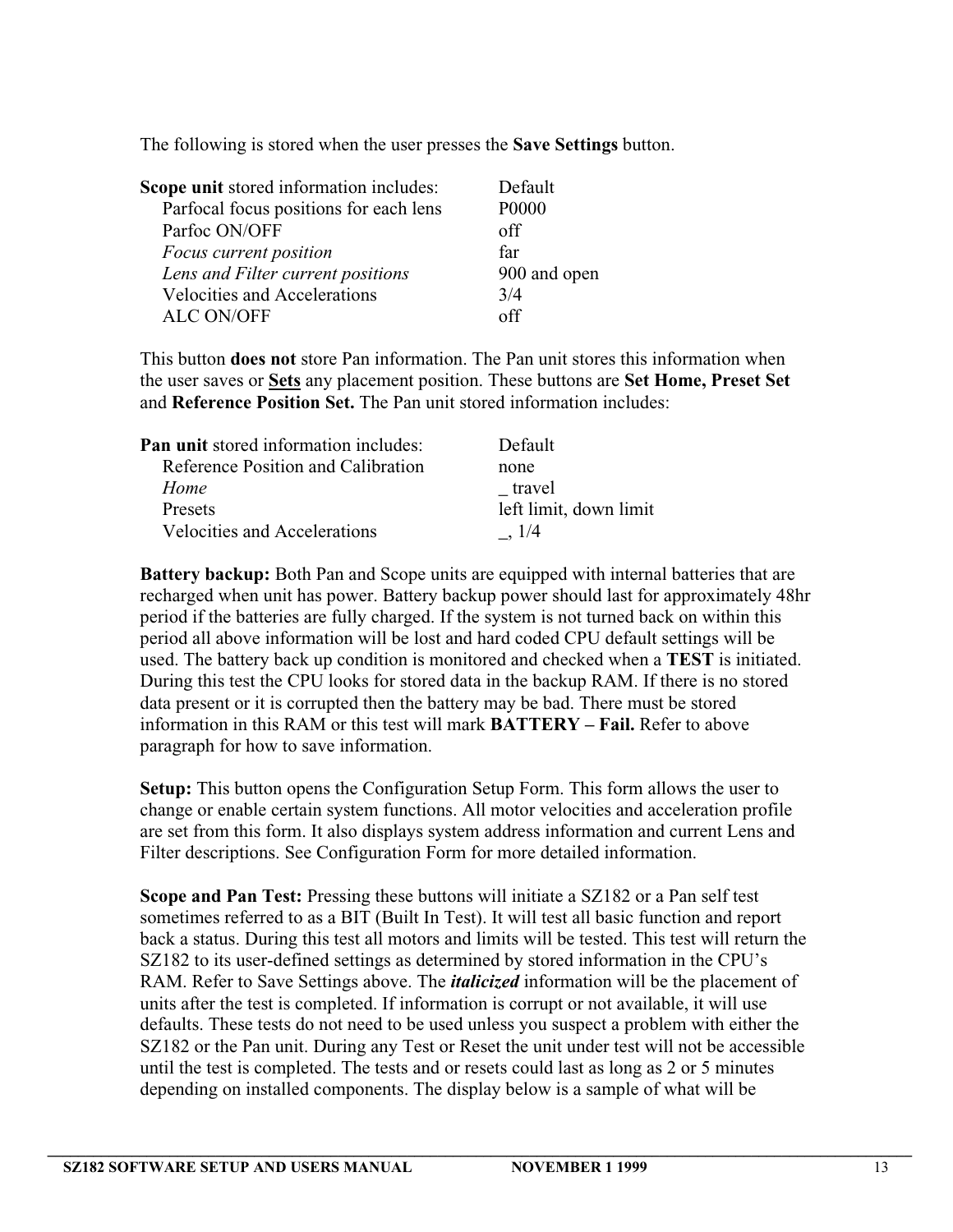The following is stored when the user presses the **Save Settings** button.

| Scope unit stored information includes: | Default      |
|-----------------------------------------|--------------|
| Parfocal focus positions for each lens  | P0000        |
| Parfoc ON/OFF                           | off          |
| Focus current position                  | far          |
| Lens and Filter current positions       | 900 and open |
| <b>Velocities and Accelerations</b>     | 3/4          |
| <b>ALC ON/OFF</b>                       | ∩ff          |

This button **does not** store Pan information. The Pan unit stores this information when the user saves or **Sets** any placement position. These buttons are **Set Home, Preset Set** and **Reference Position Set.** The Pan unit stored information includes:

| <b>Pan unit</b> stored information includes: | Default                |
|----------------------------------------------|------------------------|
| Reference Position and Calibration           | none                   |
| Home                                         | travel                 |
| <b>Presets</b>                               | left limit, down limit |
| <b>Velocities and Accelerations</b>          | .1/4                   |

**Battery backup:** Both Pan and Scope units are equipped with internal batteries that are recharged when unit has power. Battery backup power should last for approximately 48hr period if the batteries are fully charged. If the system is not turned back on within this period all above information will be lost and hard coded CPU default settings will be used. The battery back up condition is monitored and checked when a **TEST** is initiated. During this test the CPU looks for stored data in the backup RAM. If there is no stored data present or it is corrupted then the battery may be bad. There must be stored information in this RAM or this test will mark **BATTERY – Fail.** Refer to above paragraph for how to save information.

**Setup:** This button opens the Configuration Setup Form. This form allows the user to change or enable certain system functions. All motor velocities and acceleration profile are set from this form. It also displays system address information and current Lens and Filter descriptions. See Configuration Form for more detailed information.

**Scope and Pan Test:** Pressing these buttons will initiate a SZ182 or a Pan self test sometimes referred to as a BIT (Built In Test). It will test all basic function and report back a status. During this test all motors and limits will be tested. This test will return the SZ182 to its user-defined settings as determined by stored information in the CPU's RAM. Refer to Save Settings above. The *italicized* information will be the placement of units after the test is completed. If information is corrupt or not available, it will use defaults. These tests do not need to be used unless you suspect a problem with either the SZ182 or the Pan unit. During any Test or Reset the unit under test will not be accessible until the test is completed. The tests and or resets could last as long as 2 or 5 minutes depending on installed components. The display below is a sample of what will be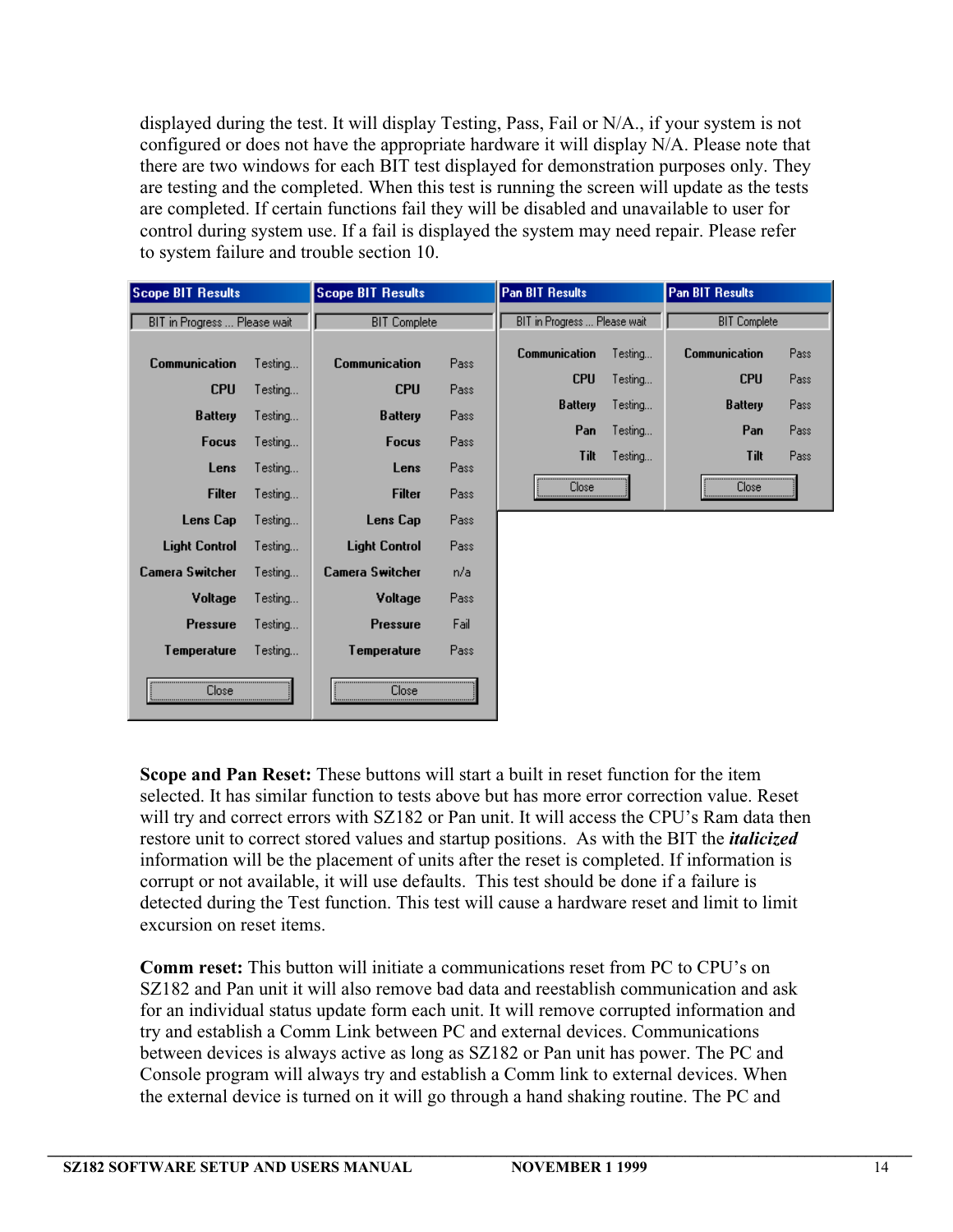displayed during the test. It will display Testing, Pass, Fail or N/A., if your system is not configured or does not have the appropriate hardware it will display N/A. Please note that there are two windows for each BIT test displayed for demonstration purposes only. They are testing and the completed. When this test is running the screen will update as the tests are completed. If certain functions fail they will be disabled and unavailable to user for control during system use. If a fail is displayed the system may need repair. Please refer to system failure and trouble section 10.

| <b>Scope BIT Results</b>     |         | <b>Scope BIT Results</b> |      | <b>Pan BIT Results</b>       |         | <b>Pan BIT Results</b> |      |
|------------------------------|---------|--------------------------|------|------------------------------|---------|------------------------|------|
| BIT in Progress  Please wait |         | <b>BIT Complete</b>      |      | BIT in Progress  Please wait |         | <b>BIT Complete</b>    |      |
| <b>Communication</b>         | Testing | <b>Communication</b>     | Pass | <b>Communication</b>         | Testing | <b>Communication</b>   | Pass |
| <b>CPU</b>                   | Testing | <b>CPU</b>               | Pass | <b>CPU</b>                   | Testing | <b>CPU</b>             | Pass |
| <b>Battery</b>               | Testing | <b>Battery</b>           | Pass | <b>Battery</b>               | Testing | <b>Battery</b>         | Pass |
| <b>Focus</b>                 | Testing | <b>Focus</b>             | Pass | Pan                          | Testing | Pan                    | Pass |
| Lens                         | Testing | Lens                     | Pass | <b>Tilt</b>                  | Testing | Tilt                   | Pass |
| <b>Filter</b>                | Testing | <b>Filter</b>            | Pass | Close                        |         | Close                  |      |
| Lens Cap                     | Testing | Lens Cap                 | Pass |                              |         |                        |      |
| <b>Light Control</b>         | Testing | <b>Light Control</b>     | Pass |                              |         |                        |      |
| Camera Switcher              | Testing | Camera Switcher          | n/a  |                              |         |                        |      |
| Voltage                      | Testing | Voltage                  | Pass |                              |         |                        |      |
| <b>Pressure</b>              | Testing | <b>Pressure</b>          | Fail |                              |         |                        |      |
| Temperature                  | Testing | Temperature              | Pass |                              |         |                        |      |
| Close                        |         | Close                    |      |                              |         |                        |      |

**Scope and Pan Reset:** These buttons will start a built in reset function for the item selected. It has similar function to tests above but has more error correction value. Reset will try and correct errors with SZ182 or Pan unit. It will access the CPU's Ram data then restore unit to correct stored values and startup positions. As with the BIT the *italicized* information will be the placement of units after the reset is completed. If information is corrupt or not available, it will use defaults. This test should be done if a failure is detected during the Test function. This test will cause a hardware reset and limit to limit excursion on reset items.

**Comm reset:** This button will initiate a communications reset from PC to CPU's on SZ182 and Pan unit it will also remove bad data and reestablish communication and ask for an individual status update form each unit. It will remove corrupted information and try and establish a Comm Link between PC and external devices. Communications between devices is always active as long as SZ182 or Pan unit has power. The PC and Console program will always try and establish a Comm link to external devices. When the external device is turned on it will go through a hand shaking routine. The PC and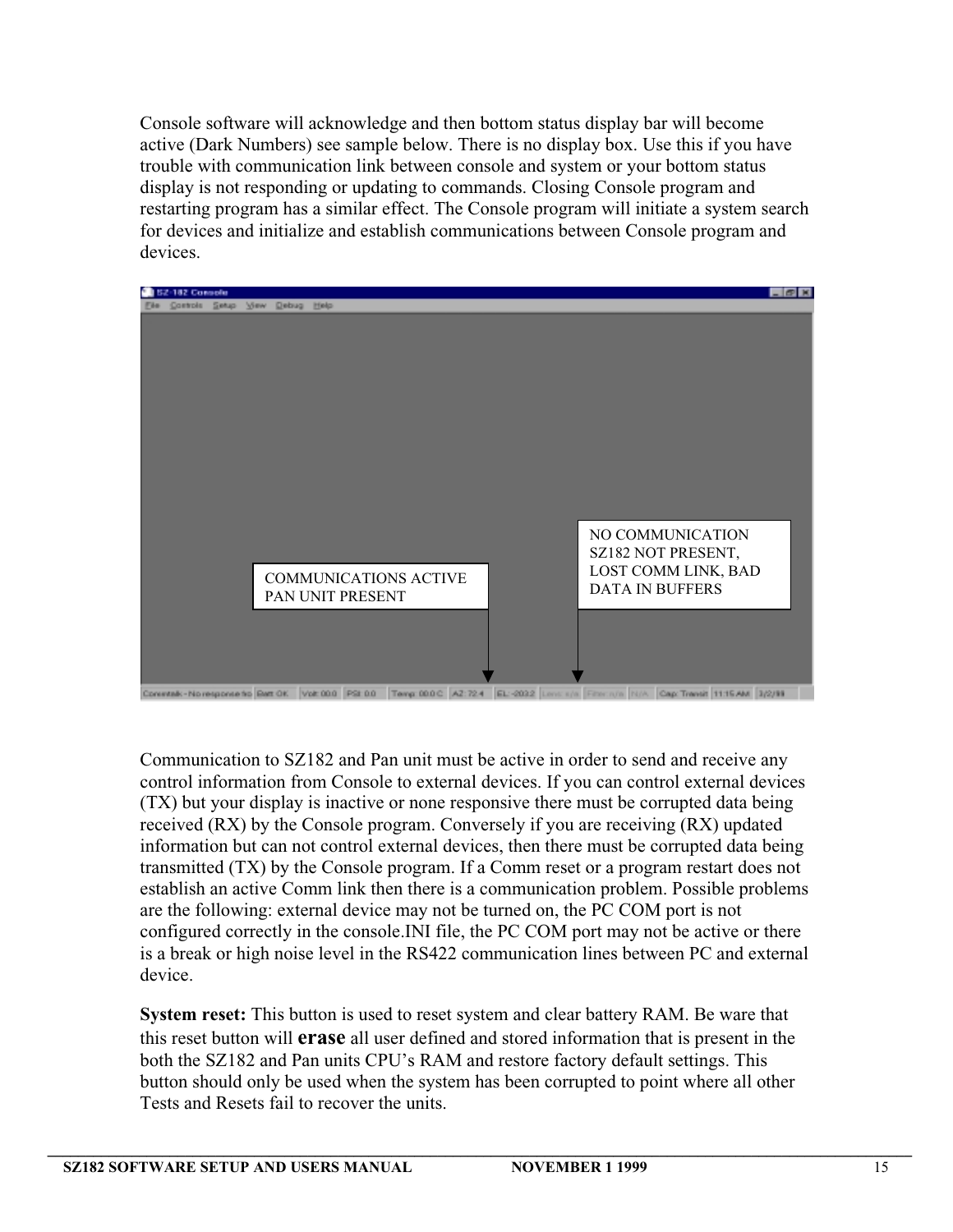Console software will acknowledge and then bottom status display bar will become active (Dark Numbers) see sample below. There is no display box. Use this if you have trouble with communication link between console and system or your bottom status display is not responding or updating to commands. Closing Console program and restarting program has a similar effect. The Console program will initiate a system search for devices and initialize and establish communications between Console program and devices.



e to Bart OK Volt 00.0 PSt 0.0 Temp 00.0 C A2:724 EL-2032 Lim Cap: Transit 11:15 AM 3/2/89

Communication to SZ182 and Pan unit must be active in order to send and receive any control information from Console to external devices. If you can control external devices (TX) but your display is inactive or none responsive there must be corrupted data being received (RX) by the Console program. Conversely if you are receiving (RX) updated information but can not control external devices, then there must be corrupted data being transmitted (TX) by the Console program. If a Comm reset or a program restart does not establish an active Comm link then there is a communication problem. Possible problems are the following: external device may not be turned on, the PC COM port is not configured correctly in the console.INI file, the PC COM port may not be active or there is a break or high noise level in the RS422 communication lines between PC and external device.

**System reset:** This button is used to reset system and clear battery RAM. Be ware that this reset button will **erase** all user defined and stored information that is present in the both the SZ182 and Pan units CPU's RAM and restore factory default settings. This button should only be used when the system has been corrupted to point where all other Tests and Resets fail to recover the units.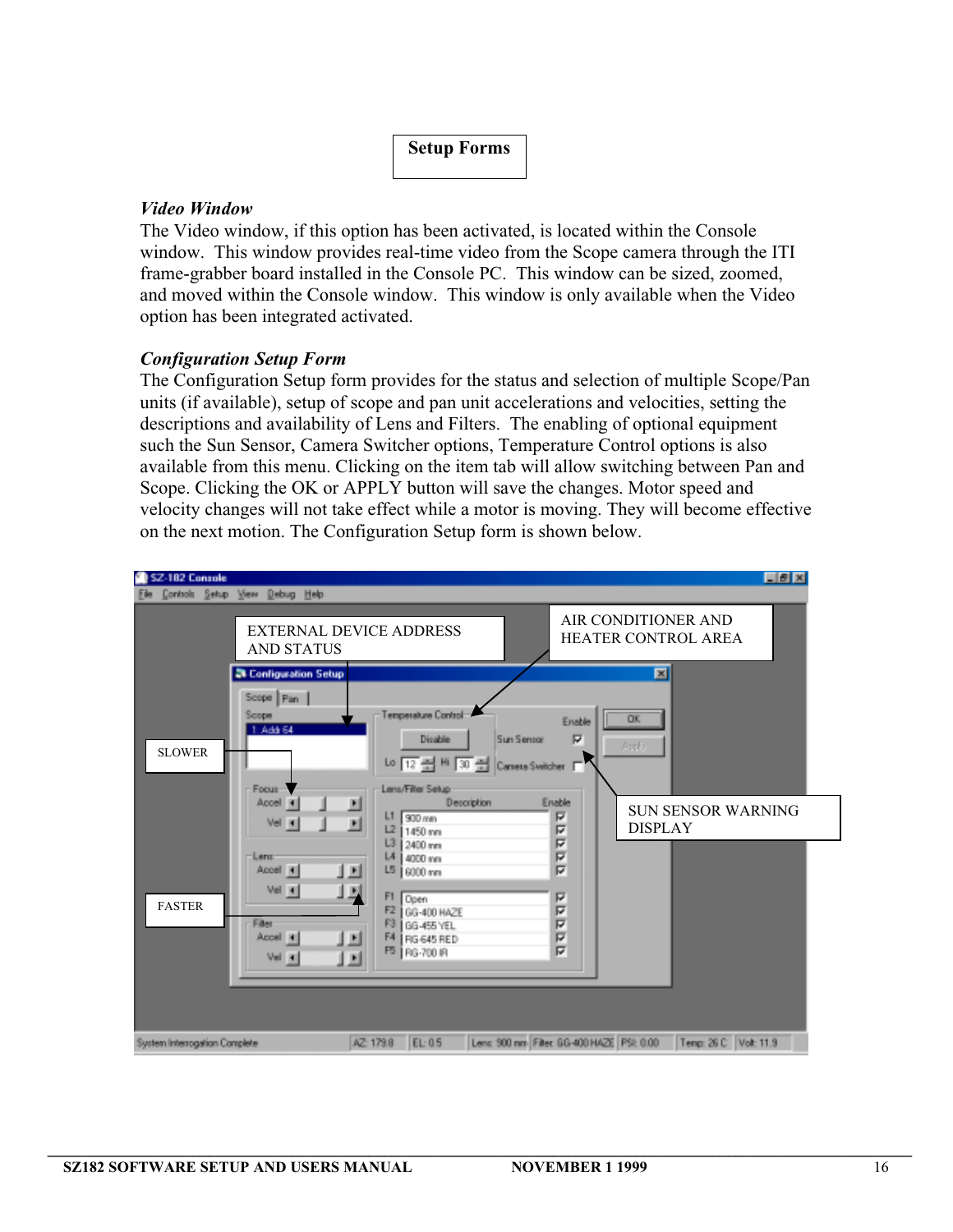# **Setup Forms**

## *Video Window*

The Video window, if this option has been activated, is located within the Console window. This window provides real-time video from the Scope camera through the ITI frame-grabber board installed in the Console PC. This window can be sized, zoomed, and moved within the Console window. This window is only available when the Video option has been integrated activated.

### *Configuration Setup Form*

The Configuration Setup form provides for the status and selection of multiple Scope/Pan units (if available), setup of scope and pan unit accelerations and velocities, setting the descriptions and availability of Lens and Filters. The enabling of optional equipment such the Sun Sensor, Camera Switcher options, Temperature Control options is also available from this menu. Clicking on the item tab will allow switching between Pan and Scope. Clicking the OK or APPLY button will save the changes. Motor speed and velocity changes will not take effect while a motor is moving. They will become effective on the next motion. The Configuration Setup form is shown below.

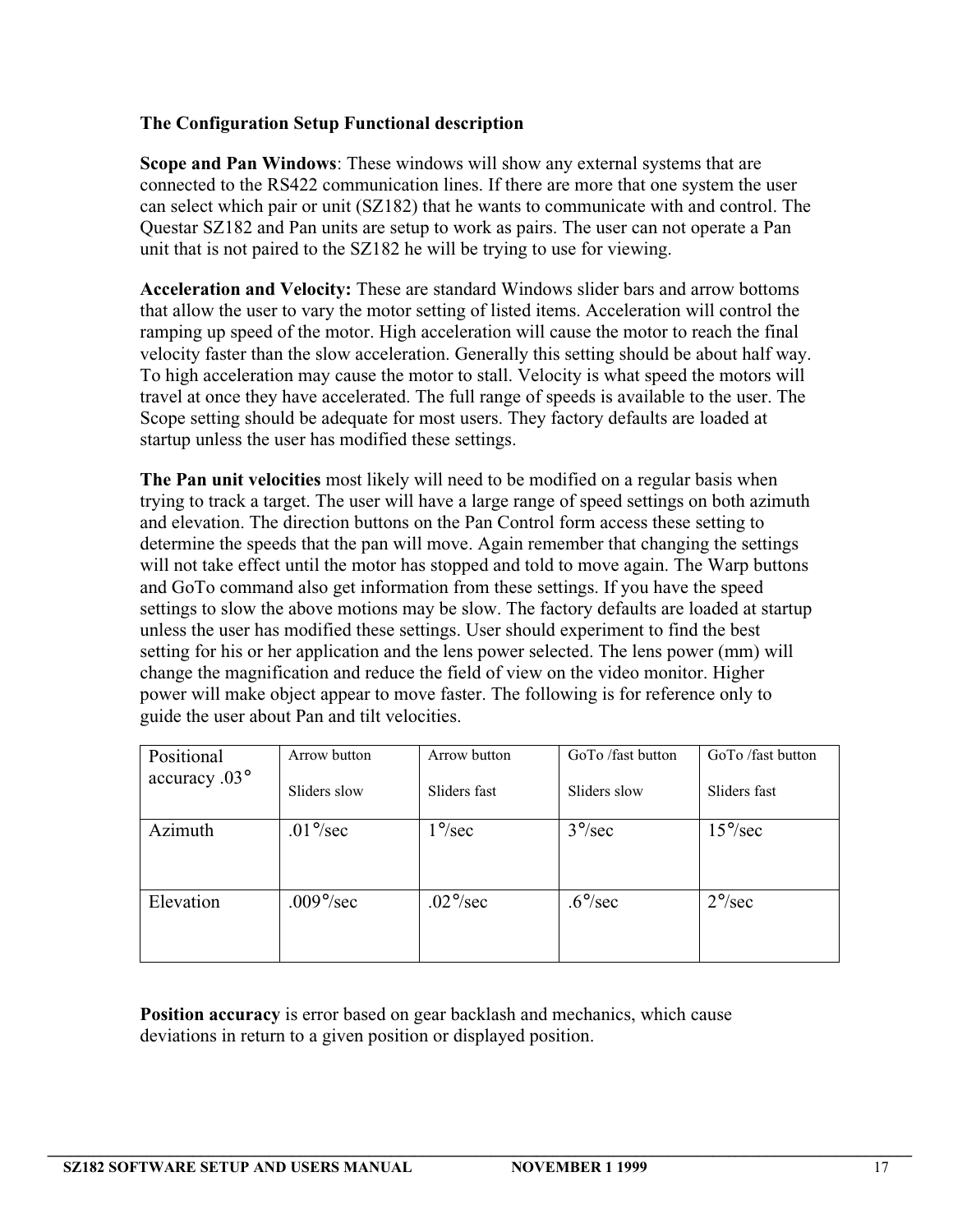# **The Configuration Setup Functional description**

**Scope and Pan Windows**: These windows will show any external systems that are connected to the RS422 communication lines. If there are more that one system the user can select which pair or unit (SZ182) that he wants to communicate with and control. The Questar SZ182 and Pan units are setup to work as pairs. The user can not operate a Pan unit that is not paired to the SZ182 he will be trying to use for viewing.

**Acceleration and Velocity:** These are standard Windows slider bars and arrow bottoms that allow the user to vary the motor setting of listed items. Acceleration will control the ramping up speed of the motor. High acceleration will cause the motor to reach the final velocity faster than the slow acceleration. Generally this setting should be about half way. To high acceleration may cause the motor to stall. Velocity is what speed the motors will travel at once they have accelerated. The full range of speeds is available to the user. The Scope setting should be adequate for most users. They factory defaults are loaded at startup unless the user has modified these settings.

**The Pan unit velocities** most likely will need to be modified on a regular basis when trying to track a target. The user will have a large range of speed settings on both azimuth and elevation. The direction buttons on the Pan Control form access these setting to determine the speeds that the pan will move. Again remember that changing the settings will not take effect until the motor has stopped and told to move again. The Warp buttons and GoTo command also get information from these settings. If you have the speed settings to slow the above motions may be slow. The factory defaults are loaded at startup unless the user has modified these settings. User should experiment to find the best setting for his or her application and the lens power selected. The lens power (mm) will change the magnification and reduce the field of view on the video monitor. Higher power will make object appear to move faster. The following is for reference only to guide the user about Pan and tilt velocities.

| Positional             | Arrow button | Arrow button           | GoTo /fast button | GoTo /fast button       |
|------------------------|--------------|------------------------|-------------------|-------------------------|
| accuracy $.03^{\circ}$ | Sliders slow | Sliders fast           | Sliders slow      | Sliders fast            |
| Azimuth                | $.01\%$ sec  | $1^{\circ}/\text{sec}$ | $3^{\circ}/sec$   | $15^{\circ}/\text{sec}$ |
|                        |              |                        |                   |                         |
| Elevation              | $.009\%$ sec | $.02^{\circ}/sec$      | $.6^{\circ}/sec$  | $2^{\circ}/sec$         |
|                        |              |                        |                   |                         |

**Position accuracy** is error based on gear backlash and mechanics, which cause deviations in return to a given position or displayed position.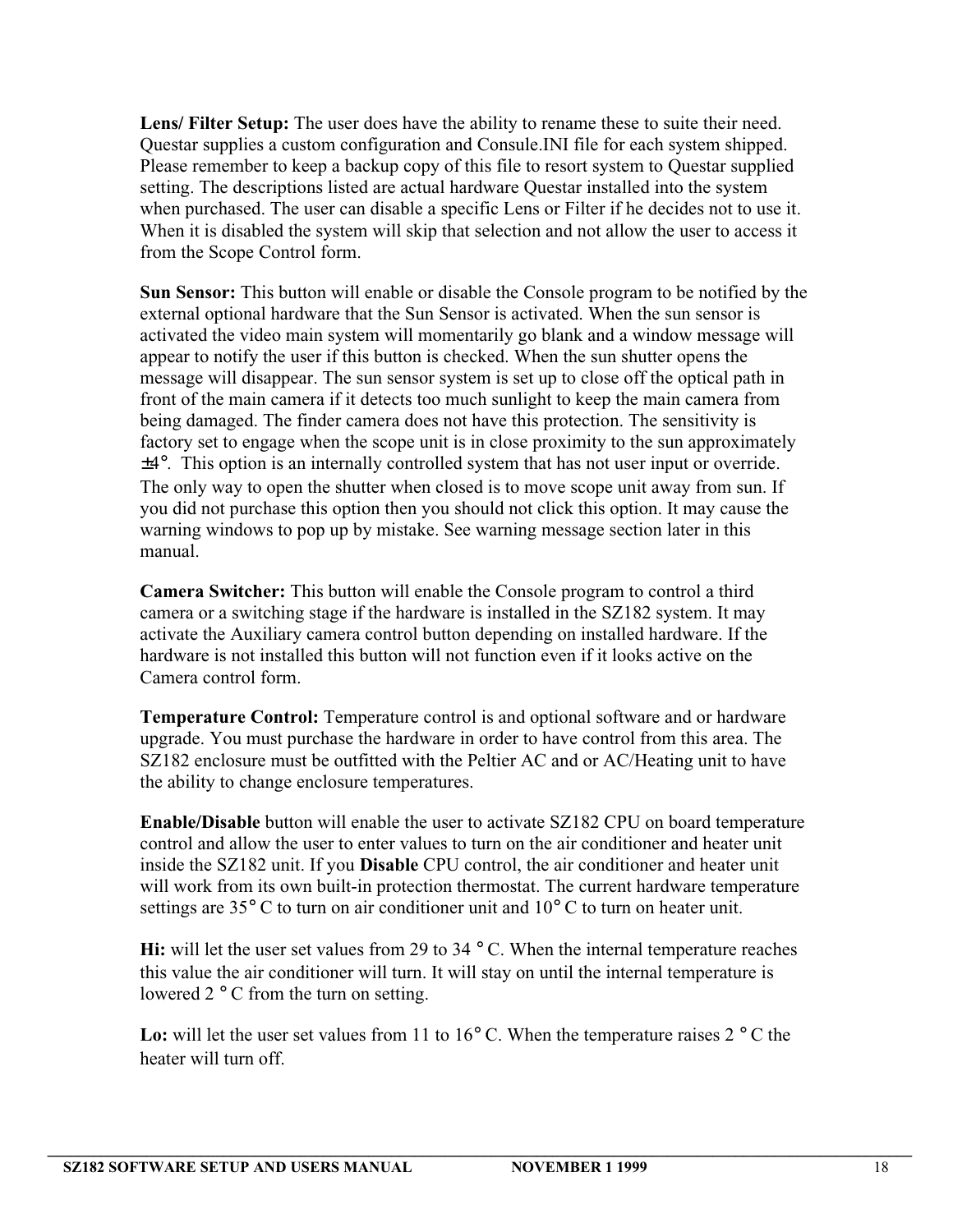Lens/ Filter Setup: The user does have the ability to rename these to suite their need. Questar supplies a custom configuration and Consule.INI file for each system shipped. Please remember to keep a backup copy of this file to resort system to Questar supplied setting. The descriptions listed are actual hardware Questar installed into the system when purchased. The user can disable a specific Lens or Filter if he decides not to use it. When it is disabled the system will skip that selection and not allow the user to access it from the Scope Control form.

**Sun Sensor:** This button will enable or disable the Console program to be notified by the external optional hardware that the Sun Sensor is activated. When the sun sensor is activated the video main system will momentarily go blank and a window message will appear to notify the user if this button is checked. When the sun shutter opens the message will disappear. The sun sensor system is set up to close off the optical path in front of the main camera if it detects too much sunlight to keep the main camera from being damaged. The finder camera does not have this protection. The sensitivity is factory set to engage when the scope unit is in close proximity to the sun approximately ±4°. This option is an internally controlled system that has not user input or override. The only way to open the shutter when closed is to move scope unit away from sun. If you did not purchase this option then you should not click this option. It may cause the warning windows to pop up by mistake. See warning message section later in this manual.

**Camera Switcher:** This button will enable the Console program to control a third camera or a switching stage if the hardware is installed in the SZ182 system. It may activate the Auxiliary camera control button depending on installed hardware. If the hardware is not installed this button will not function even if it looks active on the Camera control form.

**Temperature Control:** Temperature control is and optional software and or hardware upgrade. You must purchase the hardware in order to have control from this area. The SZ182 enclosure must be outfitted with the Peltier AC and or AC/Heating unit to have the ability to change enclosure temperatures.

**Enable/Disable** button will enable the user to activate SZ182 CPU on board temperature control and allow the user to enter values to turn on the air conditioner and heater unit inside the SZ182 unit. If you **Disable** CPU control, the air conditioner and heater unit will work from its own built-in protection thermostat. The current hardware temperature settings are 35° C to turn on air conditioner unit and 10° C to turn on heater unit.

**Hi:** will let the user set values from 29 to 34 ° C. When the internal temperature reaches this value the air conditioner will turn. It will stay on until the internal temperature is lowered 2 ° C from the turn on setting.

Lo: will let the user set values from 11 to 16° C. When the temperature raises 2 ° C the heater will turn off.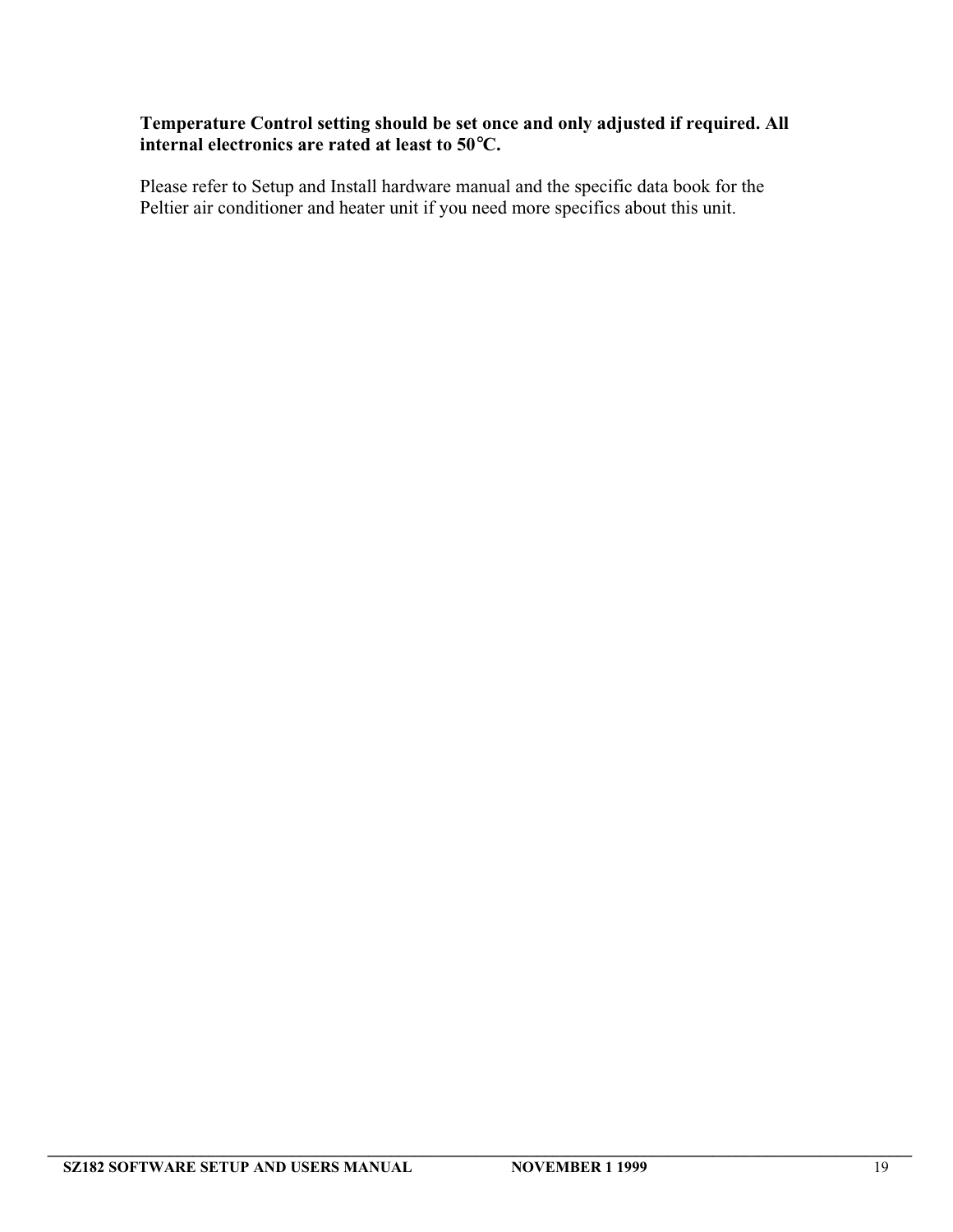# **Temperature Control setting should be set once and only adjusted if required. All internal electronics are rated at least to 50**°**C.**

Please refer to Setup and Install hardware manual and the specific data book for the Peltier air conditioner and heater unit if you need more specifics about this unit.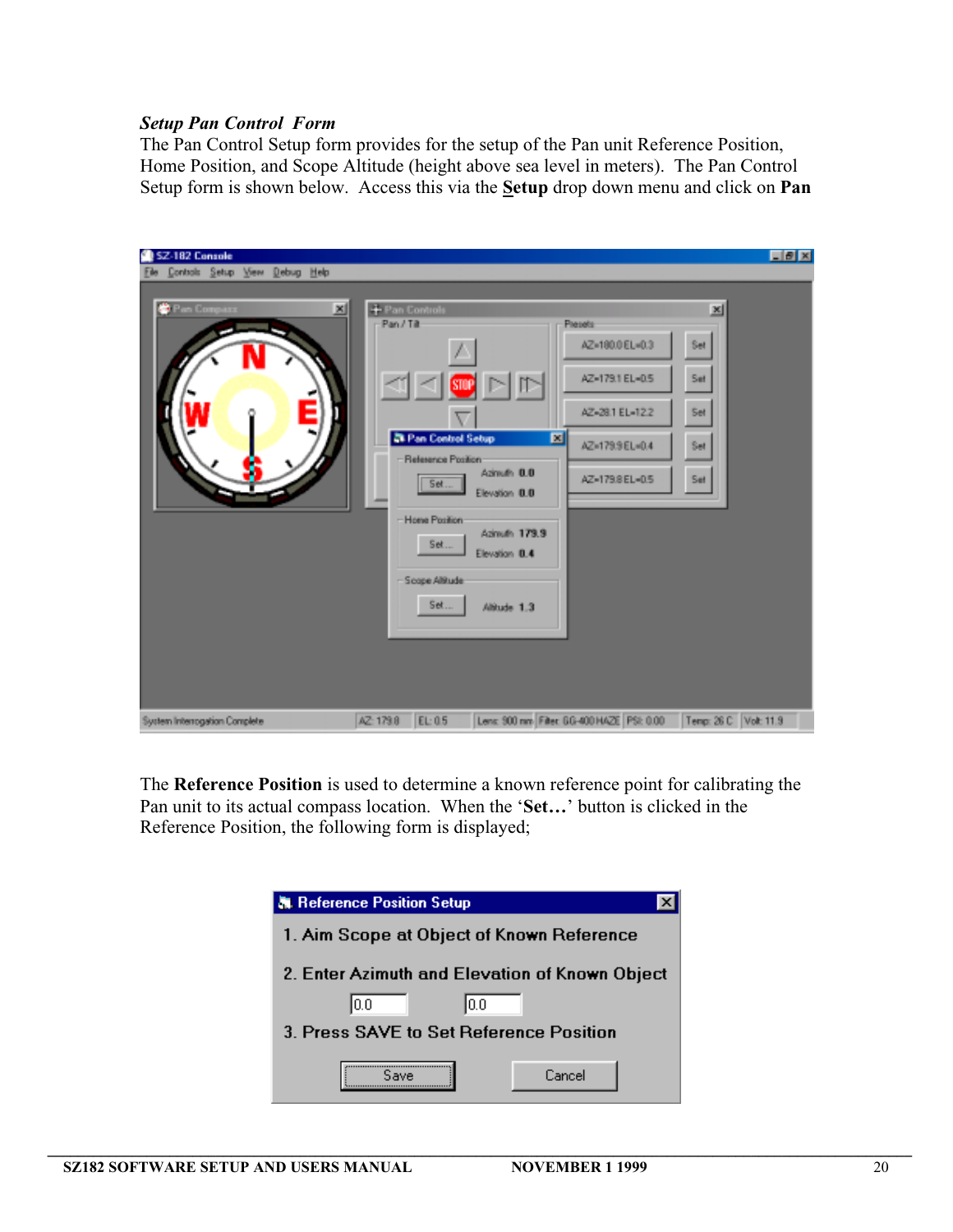### *Setup Pan Control Form*

The Pan Control Setup form provides for the setup of the Pan unit Reference Position, Home Position, and Scope Altitude (height above sea level in meters). The Pan Control Setup form is shown below. Access this via the **Setup** drop down menu and click on **Pan**

| SZ-182 Console                 |                                                                                                                                                                                                                                                                                                                                                                    | <b>EBX</b>                           |
|--------------------------------|--------------------------------------------------------------------------------------------------------------------------------------------------------------------------------------------------------------------------------------------------------------------------------------------------------------------------------------------------------------------|--------------------------------------|
| Controls Setup View Debug Help |                                                                                                                                                                                                                                                                                                                                                                    |                                      |
| <b>C</b> Part Company<br>쯰     | + Pan Controls<br>Pan / Tilt<br>Pleasts<br>AZ=180.0 EL=0.3<br>AZ-179.1 EL-0.5<br><b>STOP</b><br>AZ-28.1 EL-12.2<br>₩<br><b>Zil Pan Control Setup</b><br>図<br>AZ=179.9 EL=0.4<br>-Reference Position:<br>Azimuth 0.0<br>AZ-179.8 EL-0.5<br>Set<br>Elevation 0.0<br>Home Position:<br>Azinuth 179.9<br>Set<br>Elevation 0.4<br>- Scope Altitude<br>Set<br>Altude 1.3 | 페<br>Set<br>Set<br>Set<br>Set<br>Set |
| System Interrogation Complete  | Lenc: 900 nm Filter: 6G-400 HAZE PSt: 0.00<br>EL: 0.5<br>AZ: 179.8                                                                                                                                                                                                                                                                                                 | Tenp: 26 C Volt 11.9                 |

The **Reference Position** is used to determine a known reference point for calibrating the Pan unit to its actual compass location. When the '**Set…**' button is clicked in the Reference Position, the following form is displayed;

| <b>A. Reference Position Setup</b>             |        |  |  |  |  |  |
|------------------------------------------------|--------|--|--|--|--|--|
| 1. Aim Scope at Object of Known Reference      |        |  |  |  |  |  |
| 2. Enter Azimuth and Elevation of Known Object |        |  |  |  |  |  |
| 10.0<br>0.0                                    |        |  |  |  |  |  |
| 3. Press SAVE to Set Reference Position        |        |  |  |  |  |  |
|                                                | Cancel |  |  |  |  |  |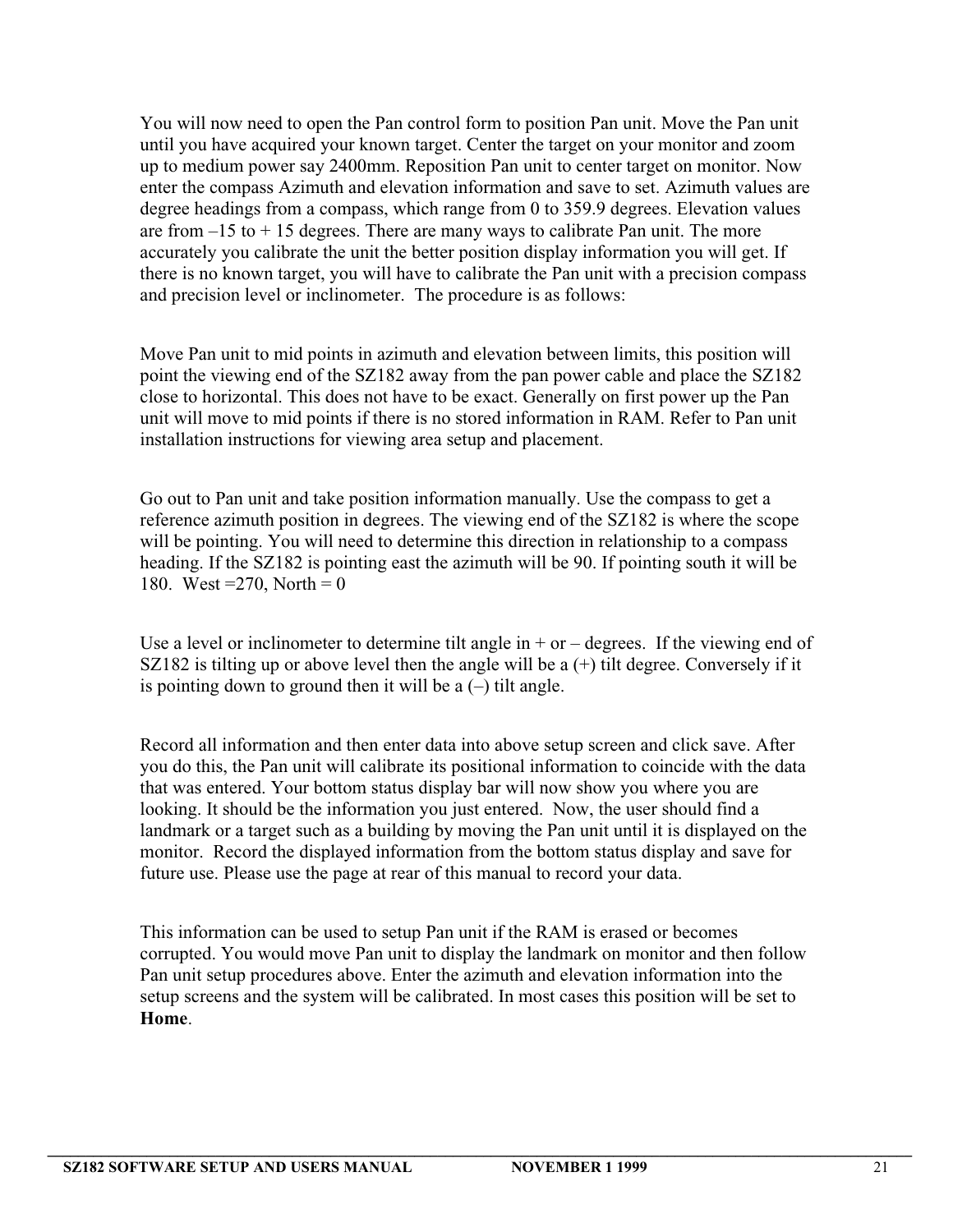You will now need to open the Pan control form to position Pan unit. Move the Pan unit until you have acquired your known target. Center the target on your monitor and zoom up to medium power say 2400mm. Reposition Pan unit to center target on monitor. Now enter the compass Azimuth and elevation information and save to set. Azimuth values are degree headings from a compass, which range from 0 to 359.9 degrees. Elevation values are from  $-15$  to  $+15$  degrees. There are many ways to calibrate Pan unit. The more accurately you calibrate the unit the better position display information you will get. If there is no known target, you will have to calibrate the Pan unit with a precision compass and precision level or inclinometer. The procedure is as follows:

Move Pan unit to mid points in azimuth and elevation between limits, this position will point the viewing end of the SZ182 away from the pan power cable and place the SZ182 close to horizontal. This does not have to be exact. Generally on first power up the Pan unit will move to mid points if there is no stored information in RAM. Refer to Pan unit installation instructions for viewing area setup and placement.

Go out to Pan unit and take position information manually. Use the compass to get a reference azimuth position in degrees. The viewing end of the SZ182 is where the scope will be pointing. You will need to determine this direction in relationship to a compass heading. If the SZ182 is pointing east the azimuth will be 90. If pointing south it will be 180. West = 270, North = 0

Use a level or inclinometer to determine tilt angle in  $+$  or  $-$  degrees. If the viewing end of SZ182 is tilting up or above level then the angle will be a  $(+)$  tilt degree. Conversely if it is pointing down to ground then it will be  $a(-)$  tilt angle.

Record all information and then enter data into above setup screen and click save. After you do this, the Pan unit will calibrate its positional information to coincide with the data that was entered. Your bottom status display bar will now show you where you are looking. It should be the information you just entered. Now, the user should find a landmark or a target such as a building by moving the Pan unit until it is displayed on the monitor. Record the displayed information from the bottom status display and save for future use. Please use the page at rear of this manual to record your data.

This information can be used to setup Pan unit if the RAM is erased or becomes corrupted. You would move Pan unit to display the landmark on monitor and then follow Pan unit setup procedures above. Enter the azimuth and elevation information into the setup screens and the system will be calibrated. In most cases this position will be set to **Home**.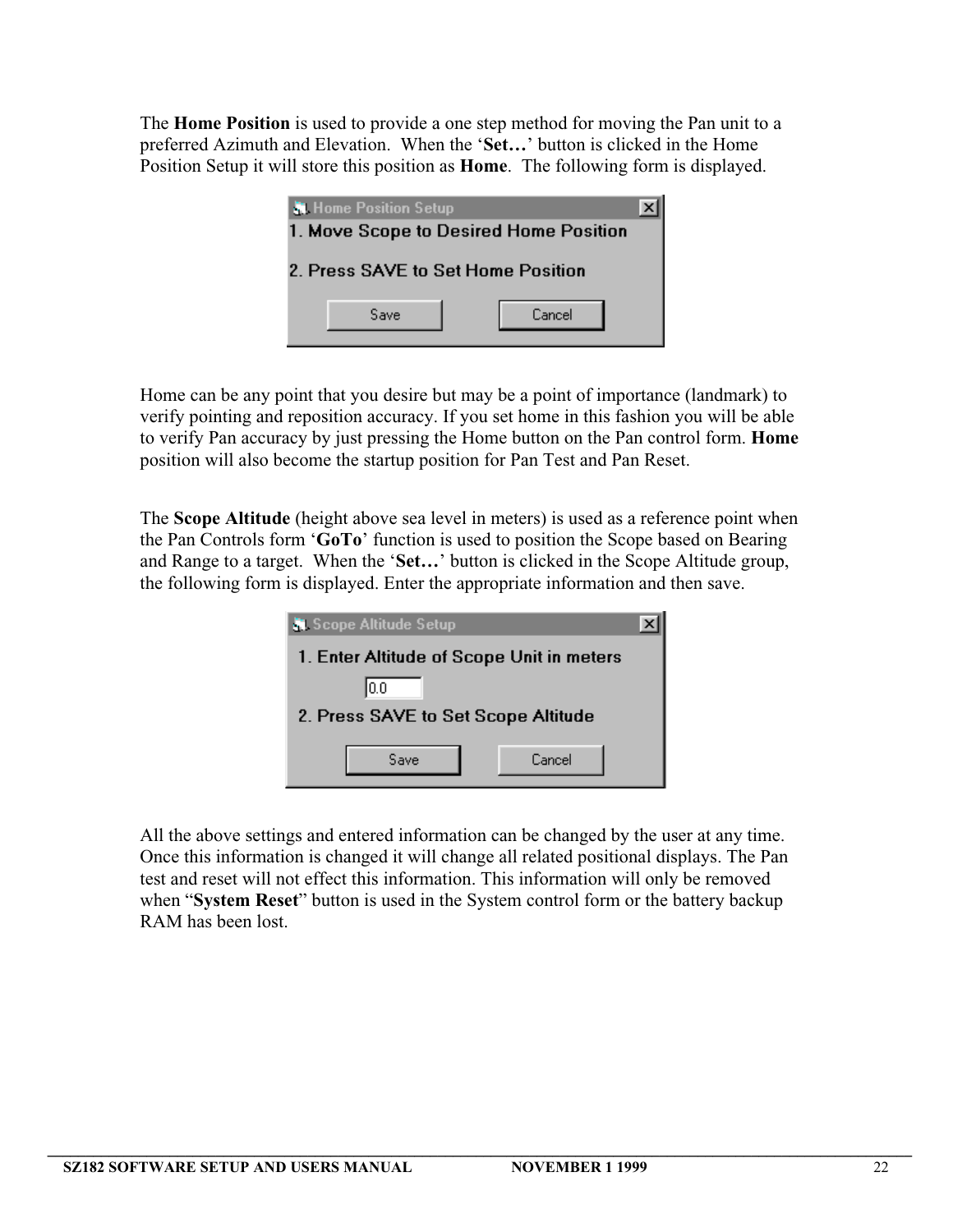The **Home Position** is used to provide a one step method for moving the Pan unit to a preferred Azimuth and Elevation. When the '**Set…**' button is clicked in the Home Position Setup it will store this position as **Home**. The following form is displayed.

| <b>N</b> Home Position Setup       | 1. Move Scope to Desired Home Position |  |
|------------------------------------|----------------------------------------|--|
| 2. Press SAVE to Set Home Position |                                        |  |
| Save                               | Cancel                                 |  |

Home can be any point that you desire but may be a point of importance (landmark) to verify pointing and reposition accuracy. If you set home in this fashion you will be able to verify Pan accuracy by just pressing the Home button on the Pan control form. **Home** position will also become the startup position for Pan Test and Pan Reset.

The **Scope Altitude** (height above sea level in meters) is used as a reference point when the Pan Controls form '**GoTo**' function is used to position the Scope based on Bearing and Range to a target. When the '**Set…**' button is clicked in the Scope Altitude group, the following form is displayed. Enter the appropriate information and then save.

| <b>Scope Altitude Setup</b>               |        |  |  |  |  |  |  |  |
|-------------------------------------------|--------|--|--|--|--|--|--|--|
| 1. Enter Altitude of Scope Unit in meters |        |  |  |  |  |  |  |  |
| 10.0                                      |        |  |  |  |  |  |  |  |
| 2. Press SAVE to Set Scope Altitude       |        |  |  |  |  |  |  |  |
|                                           |        |  |  |  |  |  |  |  |
| Save                                      | Cancel |  |  |  |  |  |  |  |
|                                           |        |  |  |  |  |  |  |  |

All the above settings and entered information can be changed by the user at any time. Once this information is changed it will change all related positional displays. The Pan test and reset will not effect this information. This information will only be removed when "**System Reset**" button is used in the System control form or the battery backup RAM has been lost.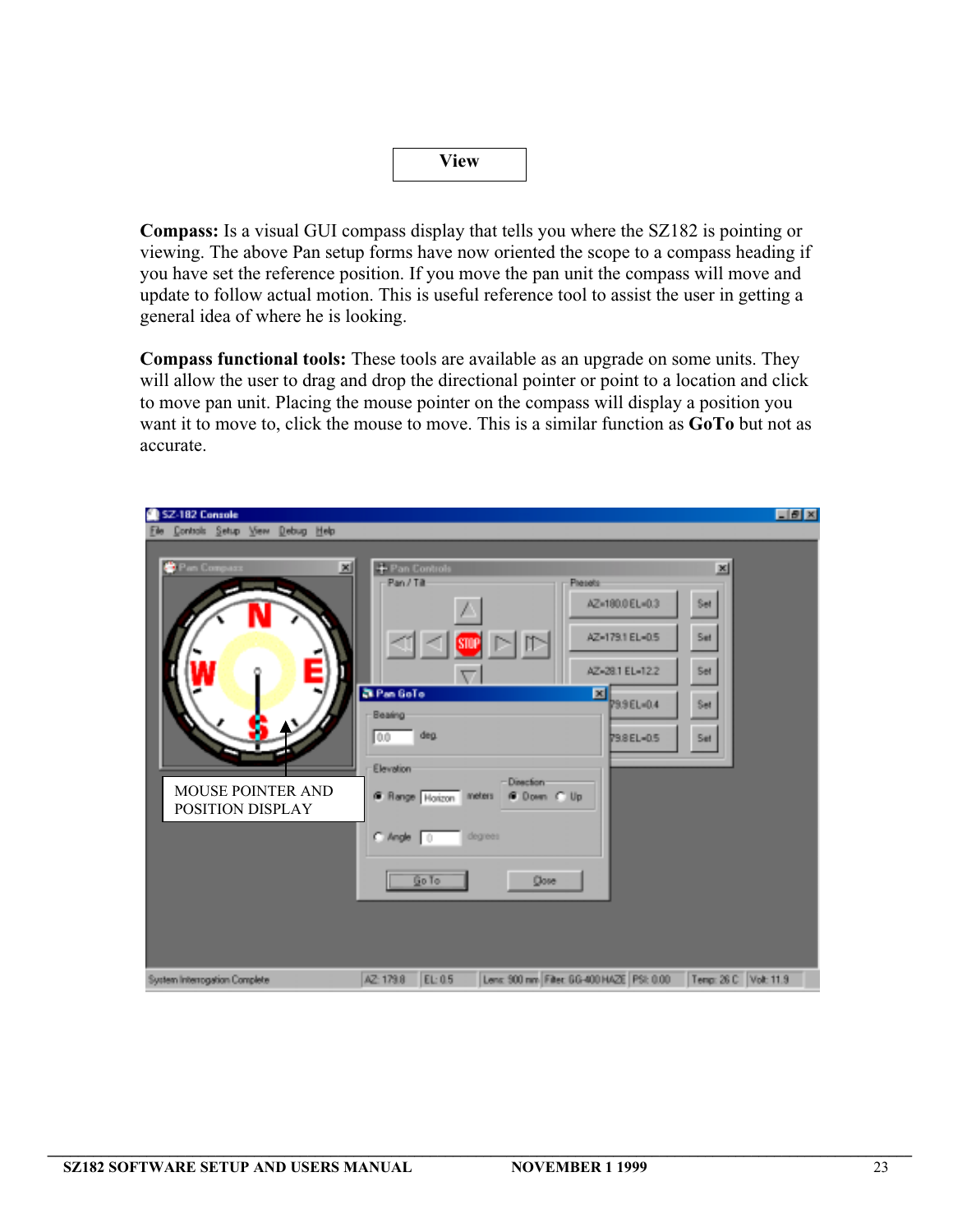|--|

**Compass:** Is a visual GUI compass display that tells you where the SZ182 is pointing or viewing. The above Pan setup forms have now oriented the scope to a compass heading if you have set the reference position. If you move the pan unit the compass will move and update to follow actual motion. This is useful reference tool to assist the user in getting a general idea of where he is looking.

**Compass functional tools:** These tools are available as an upgrade on some units. They will allow the user to drag and drop the directional pointer or point to a location and click to move pan unit. Placing the mouse pointer on the compass will display a position you want it to move to, click the mouse to move. This is a similar function as **GoTo** but not as accurate.

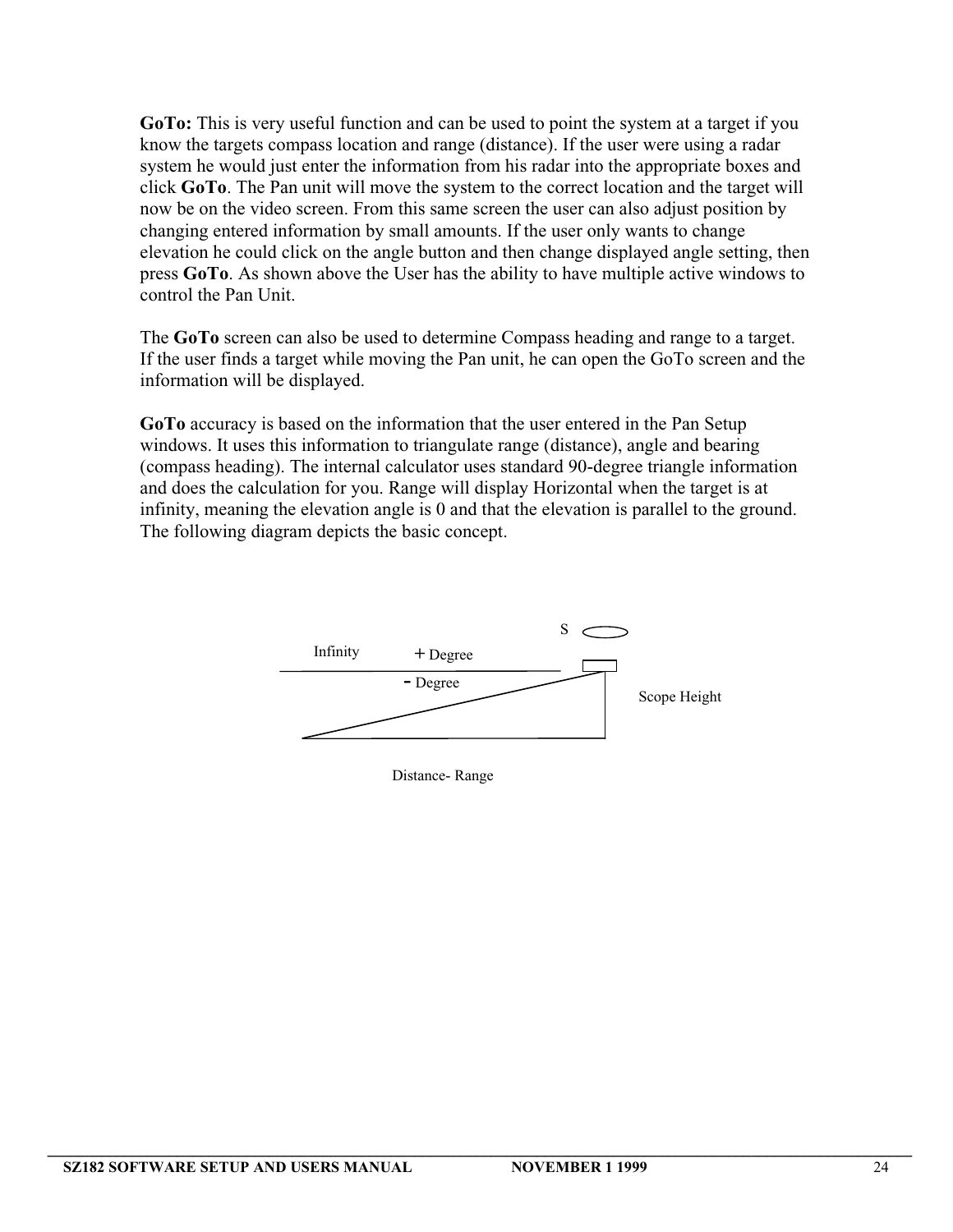**GoTo:** This is very useful function and can be used to point the system at a target if you know the targets compass location and range (distance). If the user were using a radar system he would just enter the information from his radar into the appropriate boxes and click **GoTo**. The Pan unit will move the system to the correct location and the target will now be on the video screen. From this same screen the user can also adjust position by changing entered information by small amounts. If the user only wants to change elevation he could click on the angle button and then change displayed angle setting, then press **GoTo**. As shown above the User has the ability to have multiple active windows to control the Pan Unit.

The **GoTo** screen can also be used to determine Compass heading and range to a target. If the user finds a target while moving the Pan unit, he can open the GoTo screen and the information will be displayed.

**GoTo** accuracy is based on the information that the user entered in the Pan Setup windows. It uses this information to triangulate range (distance), angle and bearing (compass heading). The internal calculator uses standard 90-degree triangle information and does the calculation for you. Range will display Horizontal when the target is at infinity, meaning the elevation angle is 0 and that the elevation is parallel to the ground. The following diagram depicts the basic concept.



Distance- Range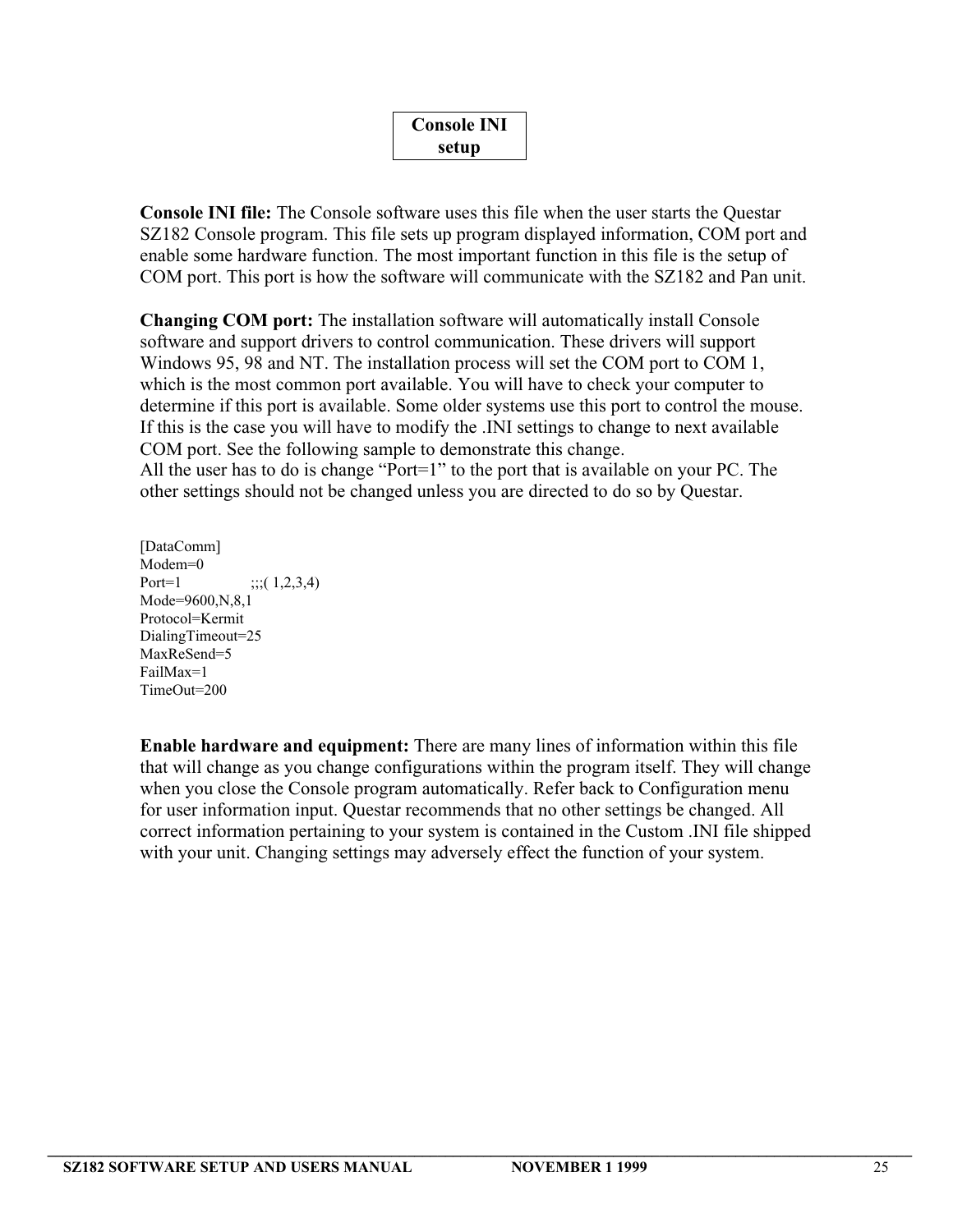| <b>Console INI</b> |  |
|--------------------|--|
| setup              |  |

**Console INI file:** The Console software uses this file when the user starts the Questar SZ182 Console program. This file sets up program displayed information, COM port and enable some hardware function. The most important function in this file is the setup of COM port. This port is how the software will communicate with the SZ182 and Pan unit.

**Changing COM port:** The installation software will automatically install Console software and support drivers to control communication. These drivers will support Windows 95, 98 and NT. The installation process will set the COM port to COM 1, which is the most common port available. You will have to check your computer to determine if this port is available. Some older systems use this port to control the mouse. If this is the case you will have to modify the .INI settings to change to next available COM port. See the following sample to demonstrate this change. All the user has to do is change "Port=1" to the port that is available on your PC. The other settings should not be changed unless you are directed to do so by Questar.

[DataComm] Modem=0 Port=1  $\;\;$ ;;( 1,2,3,4) Mode=9600,N,8,1 Protocol=Kermit DialingTimeout=25 MaxReSend=5 FailMax=1 TimeOut=200

**Enable hardware and equipment:** There are many lines of information within this file that will change as you change configurations within the program itself. They will change when you close the Console program automatically. Refer back to Configuration menu for user information input. Questar recommends that no other settings be changed. All correct information pertaining to your system is contained in the Custom .INI file shipped with your unit. Changing settings may adversely effect the function of your system.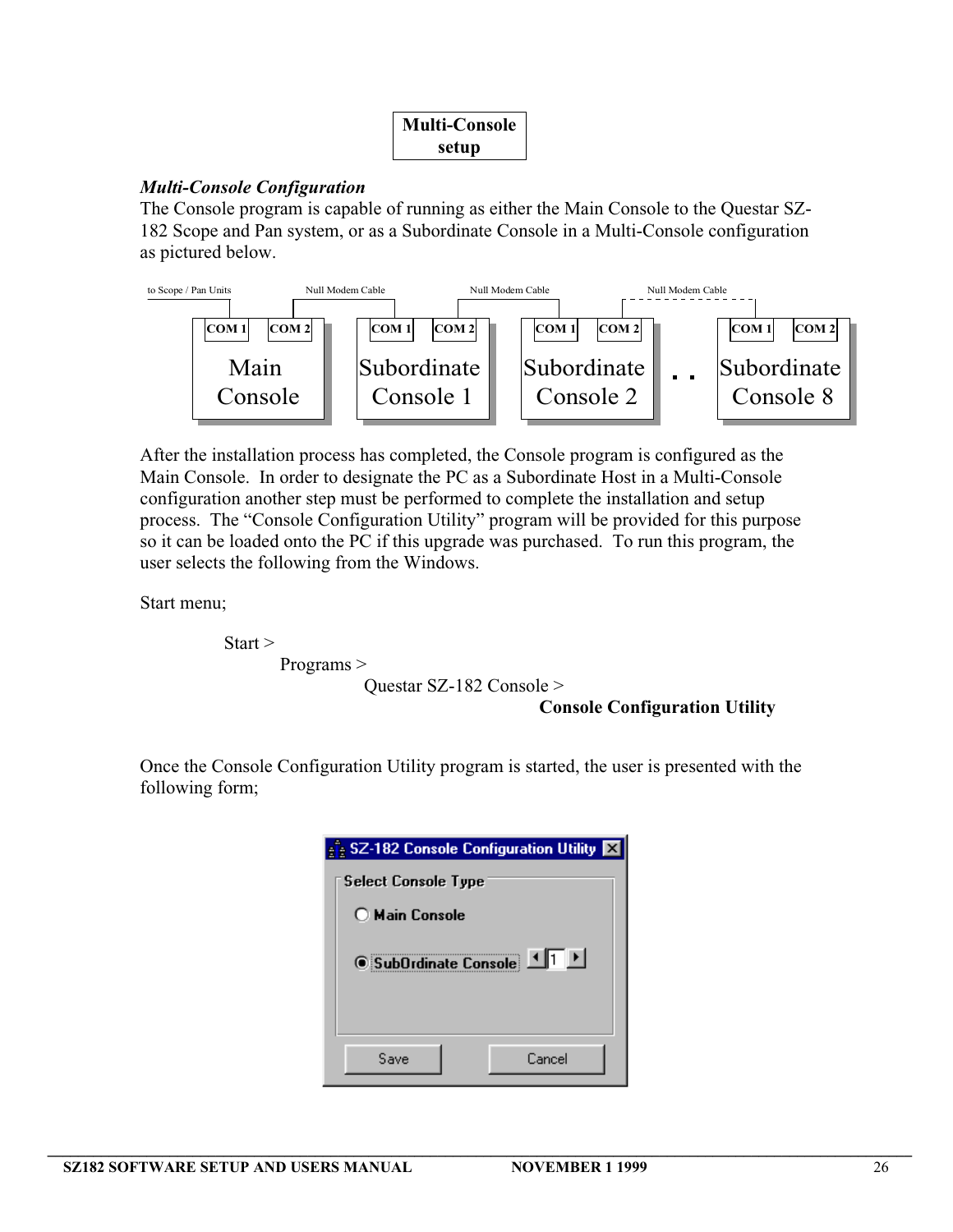| <b>Multi-Console</b> |  |
|----------------------|--|
| setup                |  |

# *Multi-Console Configuration*

The Console program is capable of running as either the Main Console to the Questar SZ-182 Scope and Pan system, or as a Subordinate Console in a Multi-Console configuration as pictured below.



After the installation process has completed, the Console program is configured as the Main Console. In order to designate the PC as a Subordinate Host in a Multi-Console configuration another step must be performed to complete the installation and setup process. The "Console Configuration Utility" program will be provided for this purpose so it can be loaded onto the PC if this upgrade was purchased. To run this program, the user selects the following from the Windows.

Start menu;

Start > Programs >

Questar SZ-182 Console >

### **Console Configuration Utility**

Once the Console Configuration Utility program is started, the user is presented with the following form;

| SZ-182 Console Configuration Utility <b>X</b> |  |
|-----------------------------------------------|--|
| Select Console Type                           |  |
| ◯ Main Console                                |  |
| 国国<br><b><i>C</i></b> SubOrdinate Console     |  |
| Cancel<br>Save                                |  |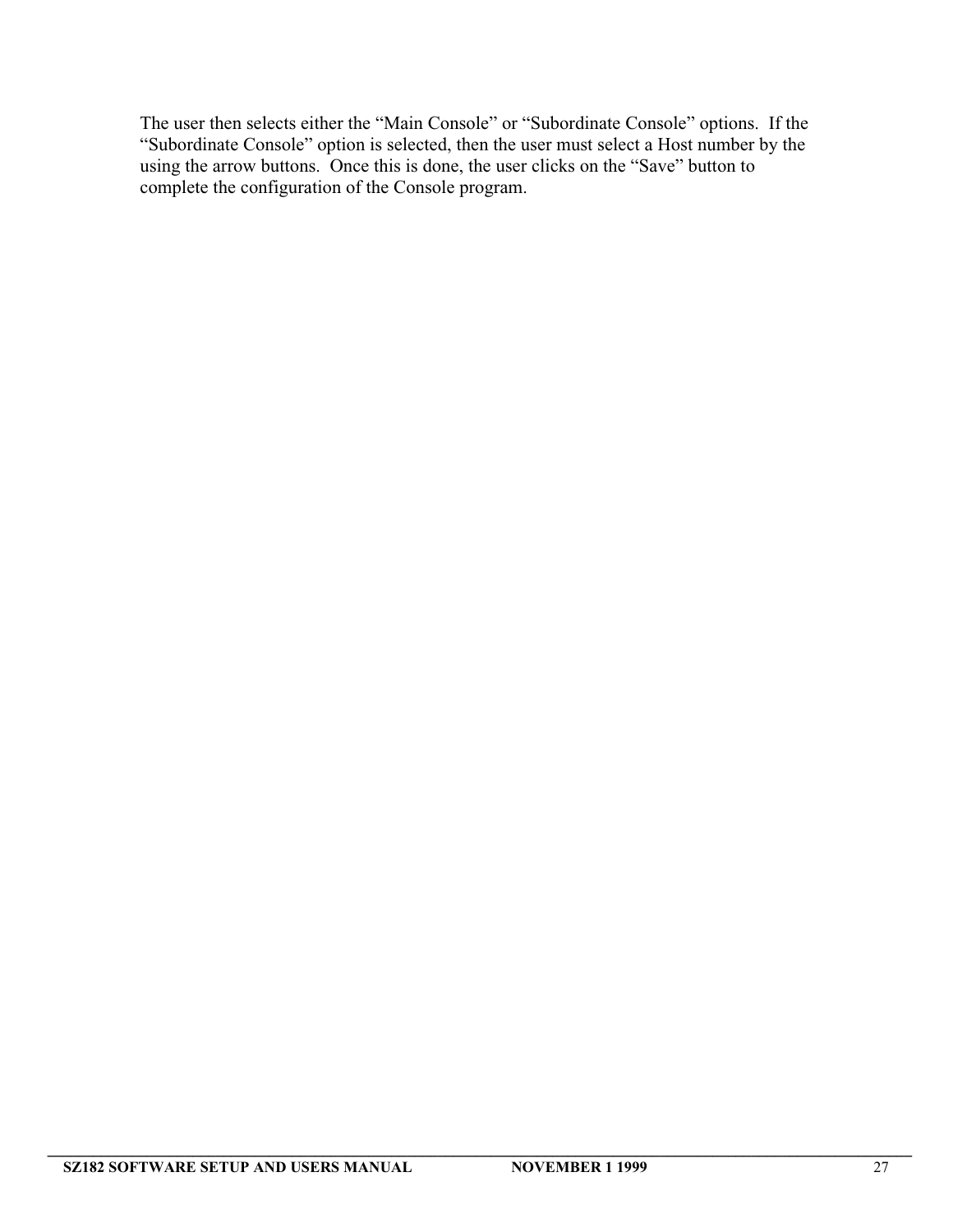The user then selects either the "Main Console" or "Subordinate Console" options. If the "Subordinate Console" option is selected, then the user must select a Host number by the using the arrow buttons. Once this is done, the user clicks on the "Save" button to complete the configuration of the Console program.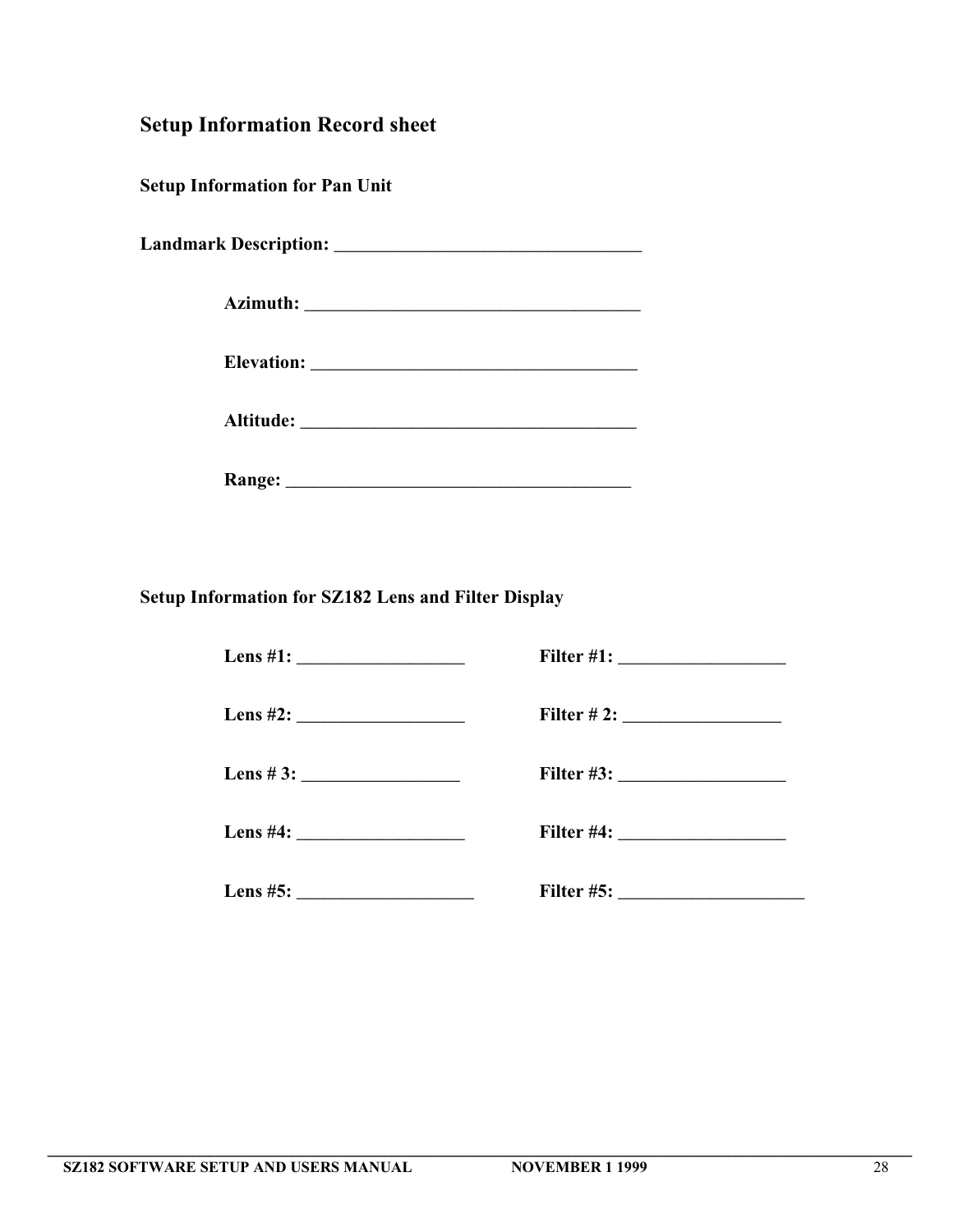**Setup Information Record sheet**

**Setup Information for Pan Unit**

**Landmark Description: \_\_\_\_\_\_\_\_\_\_\_\_\_\_\_\_\_\_\_\_\_\_\_\_\_\_\_\_\_\_\_\_\_**

**Azimuth: \_\_\_\_\_\_\_\_\_\_\_\_\_\_\_\_\_\_\_\_\_\_\_\_\_\_\_\_\_\_\_\_\_\_\_\_**

**Elevation: \_\_\_\_\_\_\_\_\_\_\_\_\_\_\_\_\_\_\_\_\_\_\_\_\_\_\_\_\_\_\_\_\_\_\_**

**Altitude: \_\_\_\_\_\_\_\_\_\_\_\_\_\_\_\_\_\_\_\_\_\_\_\_\_\_\_\_\_\_\_\_\_\_\_\_**

**Range: \_\_\_\_\_\_\_\_\_\_\_\_\_\_\_\_\_\_\_\_\_\_\_\_\_\_\_\_\_\_\_\_\_\_\_\_\_**

**Setup Information for SZ182 Lens and Filter Display**

|                  | Filter # 2: $\frac{2}{2}$ |
|------------------|---------------------------|
| Lens # 3: $\_\_$ |                           |
|                  |                           |
| Lens #5: $\_$    |                           |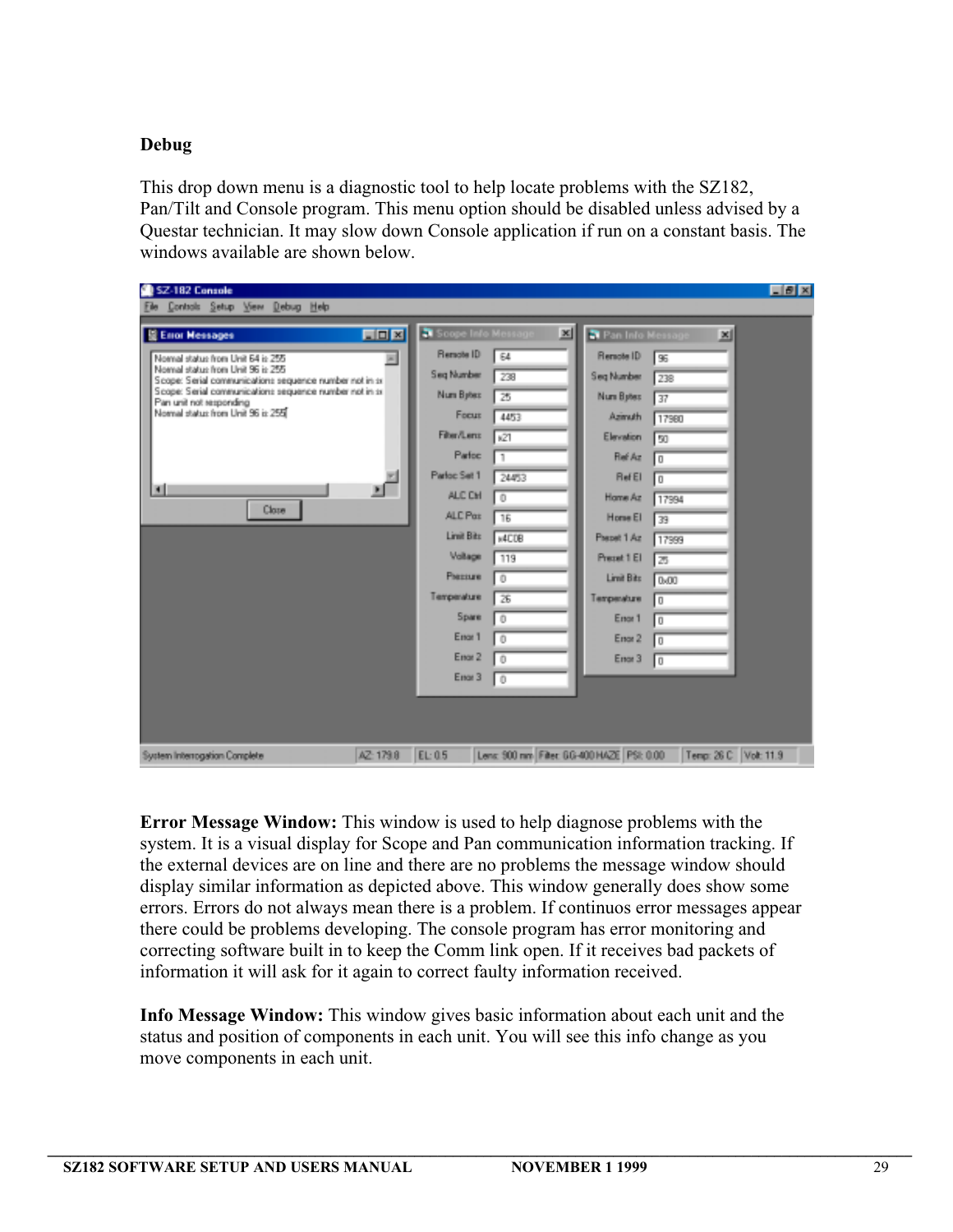# **Debug**

This drop down menu is a diagnostic tool to help locate problems with the SZ182, Pan/Tilt and Console program. This menu option should be disabled unless advised by a Questar technician. It may slow down Console application if run on a constant basis. The windows available are shown below.

| SZ-182 Console                                                                                                                                                                                                                                                                                                                                |               |                                                                                                                                                                                                                                         |                                                                                                                                                 |   |                                                                                                                                                                                                                            |                                                                                                                                                                                          | $F \times$ |
|-----------------------------------------------------------------------------------------------------------------------------------------------------------------------------------------------------------------------------------------------------------------------------------------------------------------------------------------------|---------------|-----------------------------------------------------------------------------------------------------------------------------------------------------------------------------------------------------------------------------------------|-------------------------------------------------------------------------------------------------------------------------------------------------|---|----------------------------------------------------------------------------------------------------------------------------------------------------------------------------------------------------------------------------|------------------------------------------------------------------------------------------------------------------------------------------------------------------------------------------|------------|
| Controls Setup View Debug Help<br>E Error Messages<br>Normal status from Unit 64 is 255<br>Normal status from Unit 96 is 255<br>Scope: Serial communications sequence number not in sr.<br>Scope: Serial communications sequence number not in sr.<br>Pan unit not responding<br>Normal status from Unit 96 is 255<br>$\blacksquare$<br>Close | EDE<br>×<br>Ξ | Scope Info Message<br>Remote ID<br>Seq Number<br>Num Bytes<br>Focus<br><b>Filter/Lens</b><br>Parfoc<br>Parloc Set 1<br>ALC CH<br>ALC Pat<br><b>Limit Bits</b><br>Voltage<br><b>Phensure</b><br>Temperature<br>Spare<br>Engr 1<br>Engr 2 | 64<br>238<br>25<br>4453<br>x21<br>24453<br>$\overline{0}$<br>16<br>s4CDB<br>119<br>$\overline{0}$<br>26<br>$\sqrt{0}$<br>$\theta$<br>$\sqrt{1}$ | 페 | Pan Info Message<br>Renote ID<br>Seg Number<br>Num Bytes<br>Azimuth<br>Elevation<br><b>Red Az</b><br>RefEl<br>Hame Az<br>Horse El<br>Prepet 1 Az<br>Preset 1 El<br>Limit Bits<br>Temperature<br>Enor 1<br>Enor 2<br>Enor 3 | ×<br>96<br>238<br>$\overline{37}$<br>17980<br>50<br>$\overline{0}$<br>$\Box$<br>17994<br>39<br>17999<br>25<br>0 <sub>00</sub><br>$\overline{0}$<br>$\overline{0}$<br>$\overline{0}$<br>O |            |
|                                                                                                                                                                                                                                                                                                                                               |               | Enar 3                                                                                                                                                                                                                                  | LО                                                                                                                                              |   |                                                                                                                                                                                                                            |                                                                                                                                                                                          |            |
| System Interrogation Complete                                                                                                                                                                                                                                                                                                                 | AZ: 179.8     | EL: 0.5                                                                                                                                                                                                                                 |                                                                                                                                                 |   | Lens: 900 nm Filter: GG-400 HAZE PSI: 0.00                                                                                                                                                                                 | Tenp: 26 C Volt: 11.9                                                                                                                                                                    |            |

**Error Message Window:** This window is used to help diagnose problems with the system. It is a visual display for Scope and Pan communication information tracking. If the external devices are on line and there are no problems the message window should display similar information as depicted above. This window generally does show some errors. Errors do not always mean there is a problem. If continuos error messages appear there could be problems developing. The console program has error monitoring and correcting software built in to keep the Comm link open. If it receives bad packets of information it will ask for it again to correct faulty information received.

**Info Message Window:** This window gives basic information about each unit and the status and position of components in each unit. You will see this info change as you move components in each unit.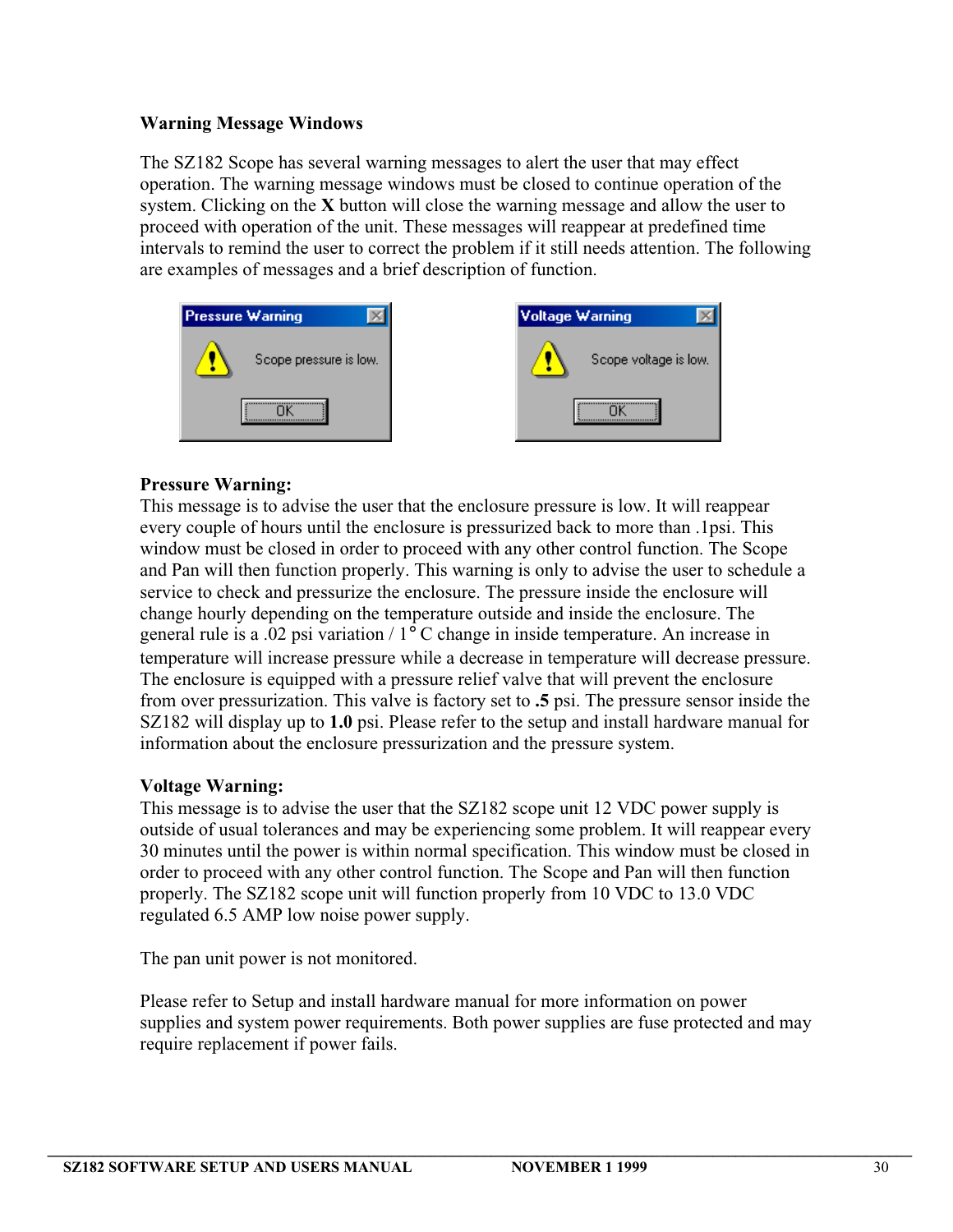# **Warning Message Windows**

The SZ182 Scope has several warning messages to alert the user that may effect operation. The warning message windows must be closed to continue operation of the system. Clicking on the **X** button will close the warning message and allow the user to proceed with operation of the unit. These messages will reappear at predefined time intervals to remind the user to correct the problem if it still needs attention. The following are examples of messages and a brief description of function.



# **Pressure Warning:**

This message is to advise the user that the enclosure pressure is low. It will reappear every couple of hours until the enclosure is pressurized back to more than .1psi. This window must be closed in order to proceed with any other control function. The Scope and Pan will then function properly. This warning is only to advise the user to schedule a service to check and pressurize the enclosure. The pressure inside the enclosure will change hourly depending on the temperature outside and inside the enclosure. The general rule is a .02 psi variation / 1° C change in inside temperature. An increase in temperature will increase pressure while a decrease in temperature will decrease pressure. The enclosure is equipped with a pressure relief valve that will prevent the enclosure from over pressurization. This valve is factory set to **.5** psi. The pressure sensor inside the SZ182 will display up to **1.0** psi. Please refer to the setup and install hardware manual for information about the enclosure pressurization and the pressure system.

# **Voltage Warning:**

This message is to advise the user that the SZ182 scope unit 12 VDC power supply is outside of usual tolerances and may be experiencing some problem. It will reappear every 30 minutes until the power is within normal specification. This window must be closed in order to proceed with any other control function. The Scope and Pan will then function properly. The SZ182 scope unit will function properly from 10 VDC to 13.0 VDC regulated 6.5 AMP low noise power supply.

The pan unit power is not monitored.

Please refer to Setup and install hardware manual for more information on power supplies and system power requirements. Both power supplies are fuse protected and may require replacement if power fails.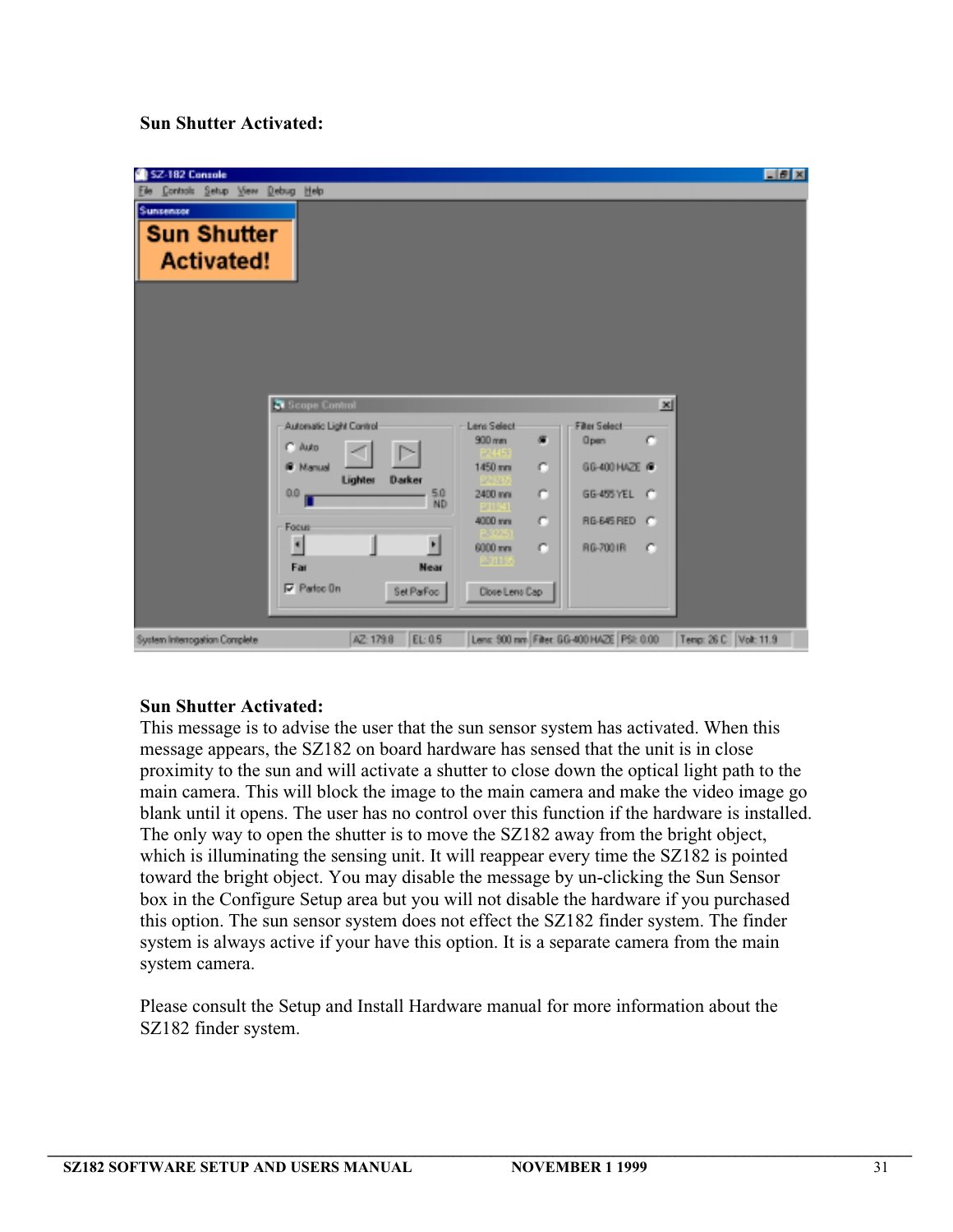# **Sun Shutter Activated:**



### **Sun Shutter Activated:**

This message is to advise the user that the sun sensor system has activated. When this message appears, the SZ182 on board hardware has sensed that the unit is in close proximity to the sun and will activate a shutter to close down the optical light path to the main camera. This will block the image to the main camera and make the video image go blank until it opens. The user has no control over this function if the hardware is installed. The only way to open the shutter is to move the SZ182 away from the bright object, which is illuminating the sensing unit. It will reappear every time the SZ182 is pointed toward the bright object. You may disable the message by un-clicking the Sun Sensor box in the Configure Setup area but you will not disable the hardware if you purchased this option. The sun sensor system does not effect the SZ182 finder system. The finder system is always active if your have this option. It is a separate camera from the main system camera.

Please consult the Setup and Install Hardware manual for more information about the SZ182 finder system.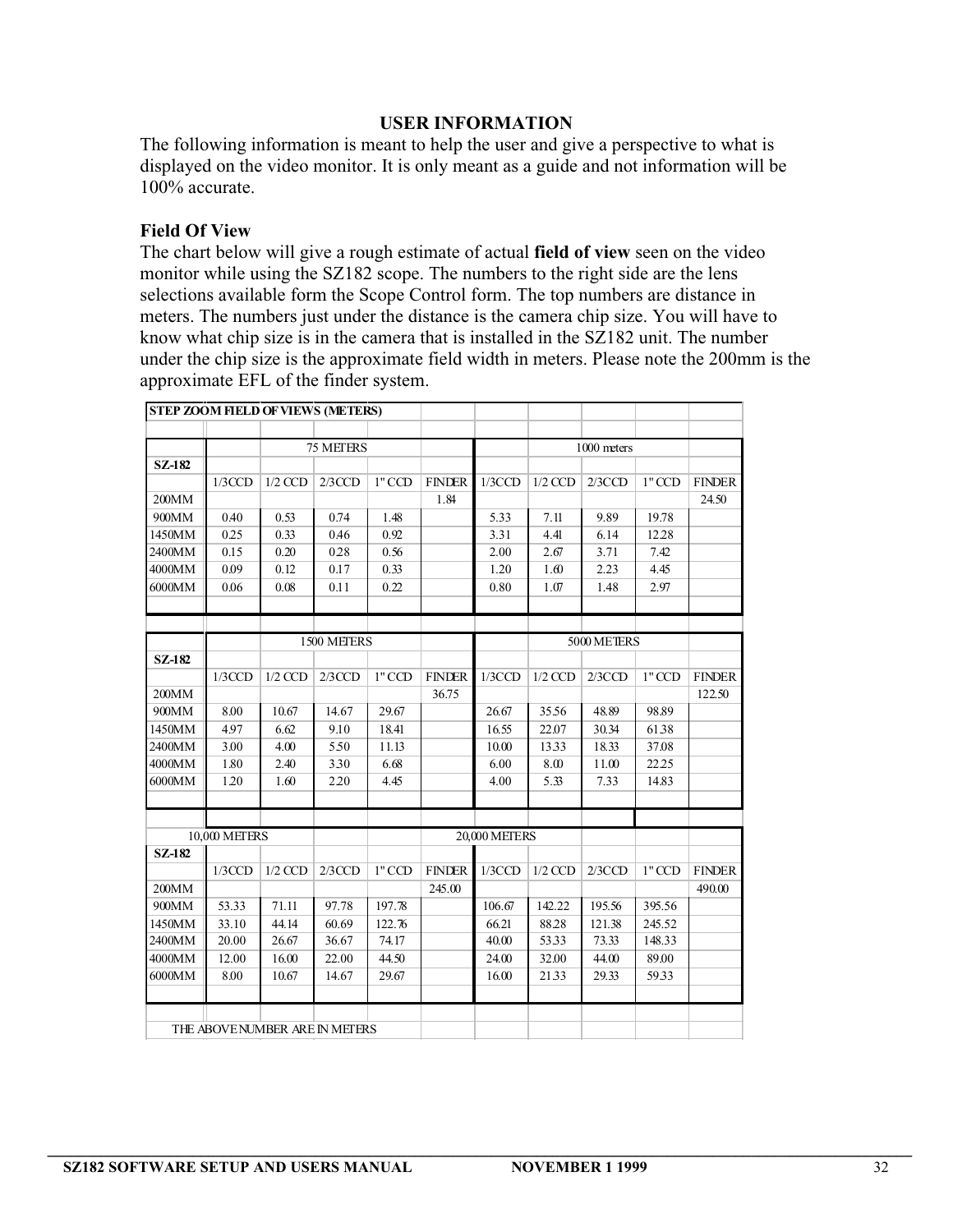### **USER INFORMATION**

The following information is meant to help the user and give a perspective to what is displayed on the video monitor. It is only meant as a guide and not information will be 100% accurate.

### **Field Of View**

The chart below will give a rough estimate of actual **field of view** seen on the video monitor while using the SZ182 scope. The numbers to the right side are the lens selections available form the Scope Control form. The top numbers are distance in meters. The numbers just under the distance is the camera chip size. You will have to know what chip size is in the camera that is installed in the SZ182 unit. The number under the chip size is the approximate field width in meters. Please note the 200mm is the approximate EFL of the finder system.

| <b>STEP ZOOM FIELD OF VIEWS (METERS)</b> |                                |           |             |          |               |                      |             |             |          |               |
|------------------------------------------|--------------------------------|-----------|-------------|----------|---------------|----------------------|-------------|-------------|----------|---------------|
|                                          |                                |           |             |          |               |                      |             |             |          |               |
|                                          | 75 METERS                      |           |             |          |               |                      | 1000 meters |             |          |               |
| SZ-182                                   |                                |           |             |          |               |                      |             |             |          |               |
|                                          | $1/3$ CCD                      | $1/2$ CCD | $2/3$ CCD   | $1"$ CCD | <b>FINDER</b> | 1/3CCD               | $1/2$ CCD   | 2/3CCD      | $1"$ CCD | <b>FINDER</b> |
| 200MM                                    |                                |           |             |          | 1.84          |                      |             |             |          | 24.50         |
| 900MM                                    | 0.40                           | 0.53      | 0.74        | 1.48     |               | 5.33                 | 7.11        | 9.89        | 19.78    |               |
| 1450MM                                   | 025                            | 0.33      | 0.46        | 0.92     |               | 3.31                 | 4.41        | 6.14        | 12.28    |               |
| 2400MM                                   | 0.15                           | 0.20      | 0.28        | 0.56     |               | 2.00                 | 2.67        | 3.71        | 7.42     |               |
| 4000MM                                   | 0.09                           | 0.12      | 0.17        | 0.33     |               | 1.20                 | 1.60        | 2.23        | 4.45     |               |
| 6000MM                                   | 0.06                           | 0.08      | 0.11        | 0.22     |               | 0.80                 | 1.07        | 1.48        | 2.97     |               |
|                                          |                                |           |             |          |               |                      |             |             |          |               |
|                                          |                                |           |             |          |               |                      |             |             |          |               |
|                                          |                                |           | 1500 METERS |          |               |                      |             | 5000 METERS |          |               |
| SZ-182                                   |                                |           |             |          |               |                      |             |             |          |               |
|                                          | $1/3$ CCD                      | $1/2$ CCD | $2/3$ CCD   | $1"$ CCD | <b>FINDER</b> | 1/3CCD               | $1/2$ CCD   | 2/3CCD      | $1"$ CCD | <b>FINDER</b> |
| 200MM                                    |                                |           |             |          | 36.75         |                      |             |             |          | 122.50        |
| 900MM                                    | 8.00                           | 10.67     | 14.67       | 29.67    |               | 26.67                | 35.56       | 48.89       | 98.89    |               |
| 1450MM                                   | 497                            | 6.62      | 9.10        | 18.41    |               | 16.55                | 22.07       | 30.34       | 6138     |               |
| 2400MM                                   | 3.00                           | 4.00      | 5.50        | 11.13    |               | 10.00                | 1333        | 18.33       | 37.08    |               |
| 4000MM                                   | 1.80                           | 2.40      | 3.30        | 6.68     |               | 6.00                 | 8.00        | 11.00       | 22.25    |               |
| 6000MM                                   | 1.20                           | 1.60      | 2.20        | 4.45     |               | 4.00                 | 5.33        | 7.33        | 14.83    |               |
|                                          |                                |           |             |          |               |                      |             |             |          |               |
|                                          |                                |           |             |          |               |                      |             |             |          |               |
|                                          | 10,000 METERS                  |           |             |          |               | <b>20,000 METERS</b> |             |             |          |               |
| <b>SZ-182</b>                            |                                |           |             |          |               |                      |             |             |          |               |
|                                          | $1/3$ CCD                      | $1/2$ CCD | $2/3$ CCD   | $1"$ CCD | <b>FINDER</b> | 1/3CCD               | $1/2$ CCD   | 2/3CCD      | $1"$ CCD | <b>FINDER</b> |
| 200MM                                    |                                |           |             |          | 245.00        |                      |             |             |          | 490.00        |
| 900MM                                    | 53.33                          | 71.11     | 97.78       | 197.78   |               | 106.67               | 142.22      | 195.56      | 395.56   |               |
| 1450MM                                   | 33.10                          | 44.14     | 60.69       | 122.76   |               | 66.21                | 88.28       | 121.38      | 245.52   |               |
| 2400MM                                   | 20.00                          | 26.67     | 36.67       | 74.17    |               | 40.00                | 5333        | 73.33       | 148.33   |               |
| 4000MM                                   | 12.00                          | 16.00     | 22.00       | 44.50    |               | 24.00                | 32.00       | 44.00       | 89.00    |               |
| 6000MM                                   | 8.00                           | 10.67     | 14.67       | 29.67    |               | 16.00                | 2133        | 29.33       | 5933     |               |
|                                          |                                |           |             |          |               |                      |             |             |          |               |
|                                          |                                |           |             |          |               |                      |             |             |          |               |
|                                          | THE ABOVE NUMBER ARE IN METERS |           |             |          |               |                      |             |             |          |               |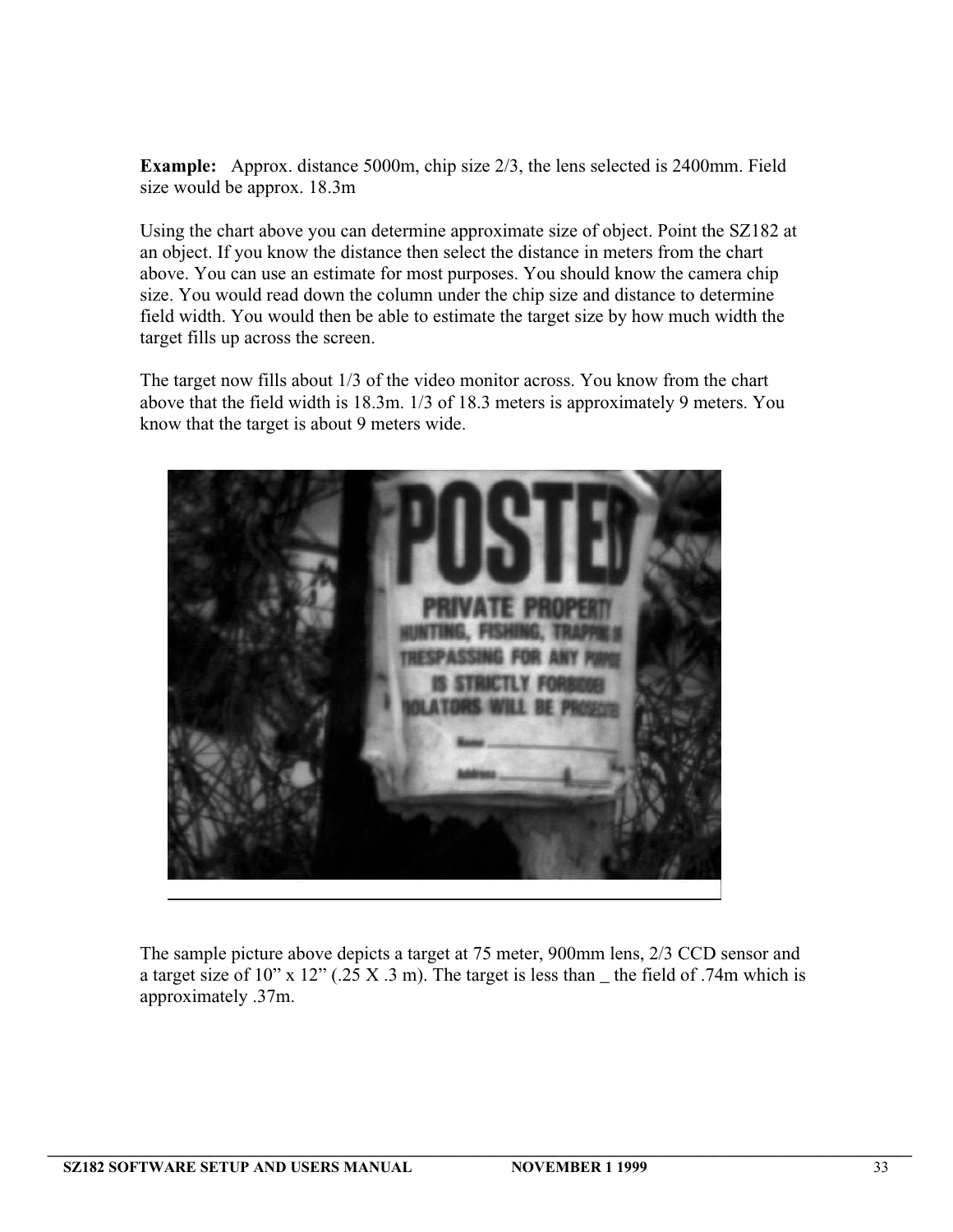**Example:** Approx. distance 5000m, chip size 2/3, the lens selected is 2400mm. Field size would be approx. 18.3m

Using the chart above you can determine approximate size of object. Point the SZ182 at an object. If you know the distance then select the distance in meters from the chart above. You can use an estimate for most purposes. You should know the camera chip size. You would read down the column under the chip size and distance to determine field width. You would then be able to estimate the target size by how much width the target fills up across the screen.

The target now fills about 1/3 of the video monitor across. You know from the chart above that the field width is 18.3m. 1/3 of 18.3 meters is approximately 9 meters. You know that the target is about 9 meters wide.



The sample picture above depicts a target at 75 meter, 900mm lens, 2/3 CCD sensor and a target size of 10" x 12" (.25 X .3 m). The target is less than  $\mu$  the field of .74m which is approximately .37m.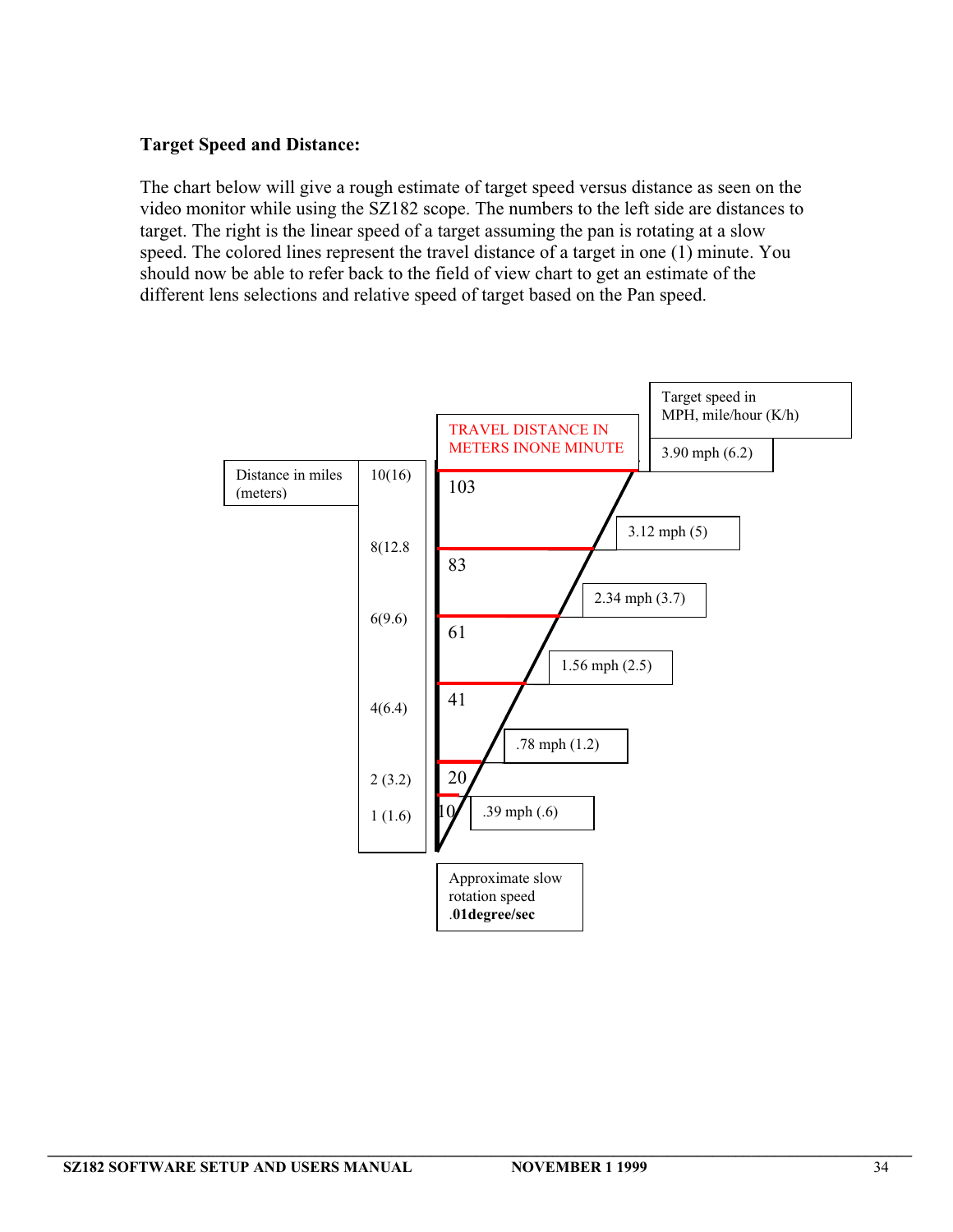# **Target Speed and Distance:**

The chart below will give a rough estimate of target speed versus distance as seen on the video monitor while using the SZ182 scope. The numbers to the left side are distances to target. The right is the linear speed of a target assuming the pan is rotating at a slow speed. The colored lines represent the travel distance of a target in one (1) minute. You should now be able to refer back to the field of view chart to get an estimate of the different lens selections and relative speed of target based on the Pan speed.